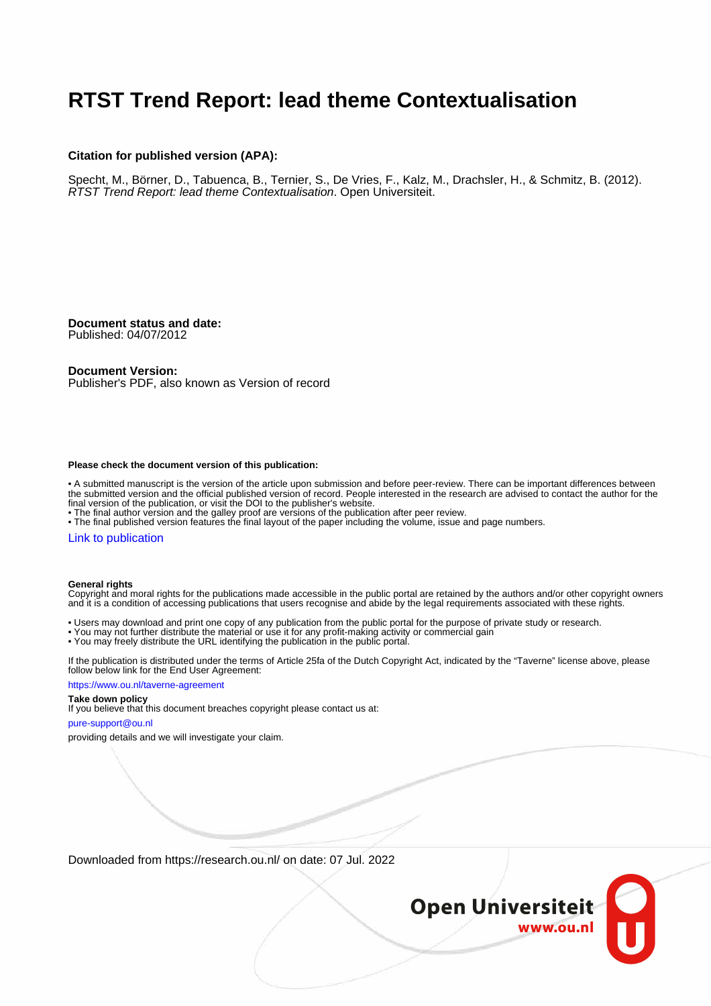## **RTST Trend Report: lead theme Contextualisation**

#### **Citation for published version (APA):**

Specht, M., Börner, D., Tabuenca, B., Ternier, S., De Vries, F., Kalz, M., Drachsler, H., & Schmitz, B. (2012). RTST Trend Report: lead theme Contextualisation. Open Universiteit.

**Document status and date:** Published: 04/07/2012

#### **Document Version:**

Publisher's PDF, also known as Version of record

#### **Please check the document version of this publication:**

• A submitted manuscript is the version of the article upon submission and before peer-review. There can be important differences between the submitted version and the official published version of record. People interested in the research are advised to contact the author for the final version of the publication, or visit the DOI to the publisher's website.

• The final author version and the galley proof are versions of the publication after peer review.

• The final published version features the final layout of the paper including the volume, issue and page numbers.

#### [Link to publication](https://research.ou.nl/en/publications/44b5b3be-733e-43fb-acd7-c1464189cbc7)

#### **General rights**

Copyright and moral rights for the publications made accessible in the public portal are retained by the authors and/or other copyright owners and it is a condition of accessing publications that users recognise and abide by the legal requirements associated with these rights.

- Users may download and print one copy of any publication from the public portal for the purpose of private study or research.
- You may not further distribute the material or use it for any profit-making activity or commercial gain
- You may freely distribute the URL identifying the publication in the public portal.

If the publication is distributed under the terms of Article 25fa of the Dutch Copyright Act, indicated by the "Taverne" license above, please follow below link for the End User Agreement:

#### https://www.ou.nl/taverne-agreement

#### **Take down policy**

If you believe that this document breaches copyright please contact us at:

#### pure-support@ou.nl

providing details and we will investigate your claim.

Downloaded from https://research.ou.nl/ on date: 07 Jul. 2022

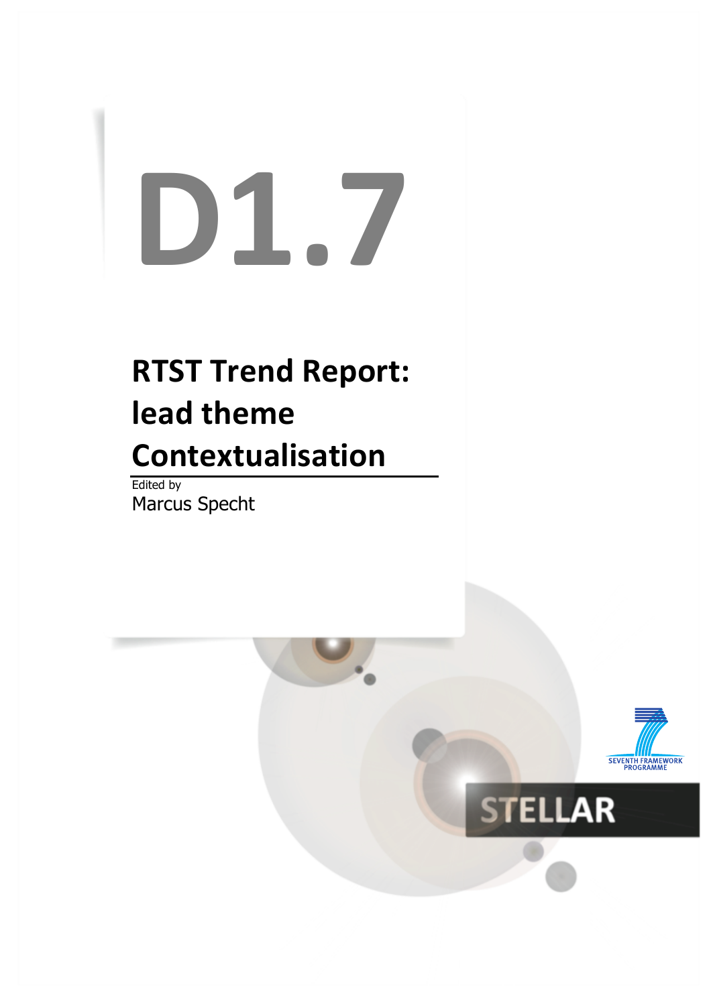# **D1.7**

# **RTST Trend Report: lead theme Contextualisation**

Edited by Marcus Specht

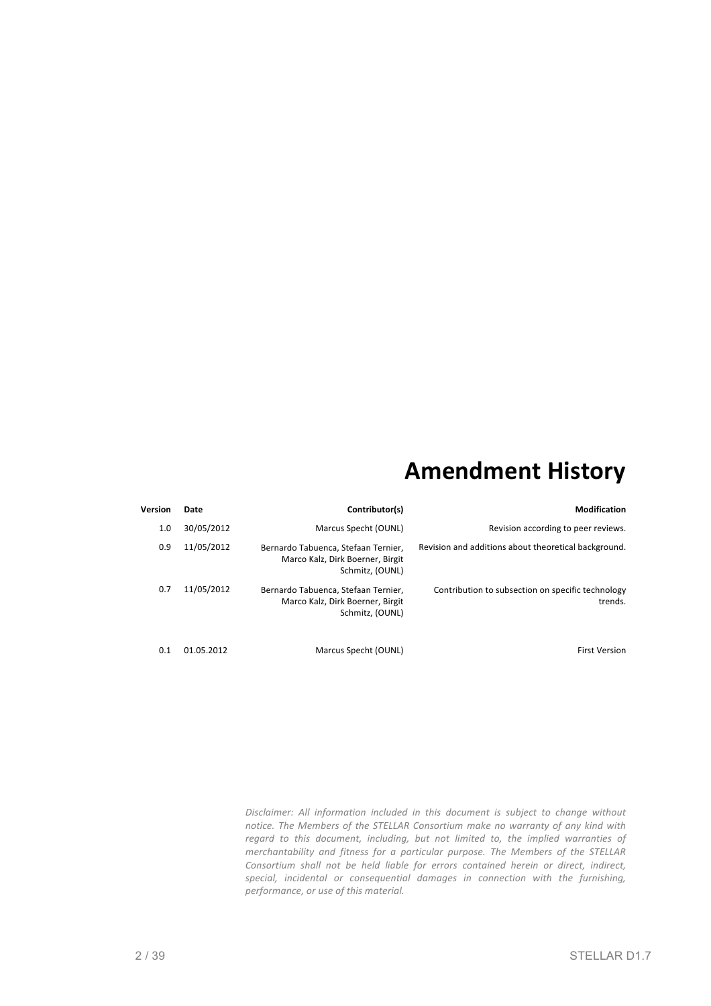## **Amendment History**

| <b>Modification</b>                                          | Contributor(s)                                                                             | Date       | Version |
|--------------------------------------------------------------|--------------------------------------------------------------------------------------------|------------|---------|
| Revision according to peer reviews.                          | Marcus Specht (OUNL)                                                                       | 30/05/2012 | 1.0     |
| Revision and additions about theoretical background.         | Bernardo Tabuenca, Stefaan Ternier,<br>Marco Kalz, Dirk Boerner, Birgit<br>Schmitz, (OUNL) | 11/05/2012 | 0.9     |
| Contribution to subsection on specific technology<br>trends. | Bernardo Tabuenca, Stefaan Ternier,<br>Marco Kalz, Dirk Boerner, Birgit<br>Schmitz, (OUNL) | 11/05/2012 | 0.7     |
| <b>First Version</b>                                         | Marcus Specht (OUNL)                                                                       | 01.05.2012 | 0.1     |

Disclaimer: All information included in this document is subject to change without *notice.* The Members of the STELLAR Consortium make no warranty of any kind with regard to this document, including, but not limited to, the implied warranties of *merchantability* and *fitness for a particular purpose. The Members of the STELLAR* Consortium shall not be held liable for errors contained herein or direct, indirect, special, incidental or consequential damages in connection with the furnishing, *performance, or use of this material.*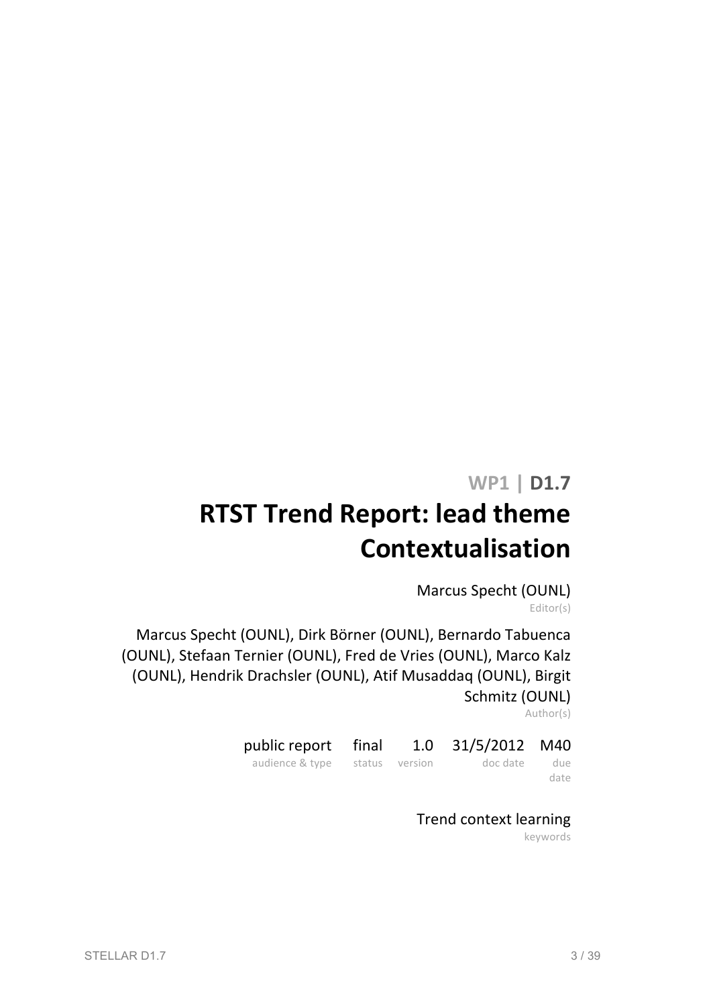## **WP1 | D1.7**

# **RTST Trend Report: lead theme Contextualisation**

Marcus Specht (OUNL) Editor(s)

Marcus Specht (OUNL), Dirk Börner (OUNL), Bernardo Tabuenca (OUNL), Stefaan Ternier (OUNL), Fred de Vries (OUNL), Marco Kalz (OUNL), Hendrik Drachsler (OUNL), Atif Musaddaq (OUNL), Birgit Schmitz (OUNL)

Author(s)

| public report final 1.0 31/5/2012 M40 |  |                             |      |
|---------------------------------------|--|-----------------------------|------|
| audience & type                       |  | status version blocdate due |      |
|                                       |  |                             | date |

## Trend context learning

keywords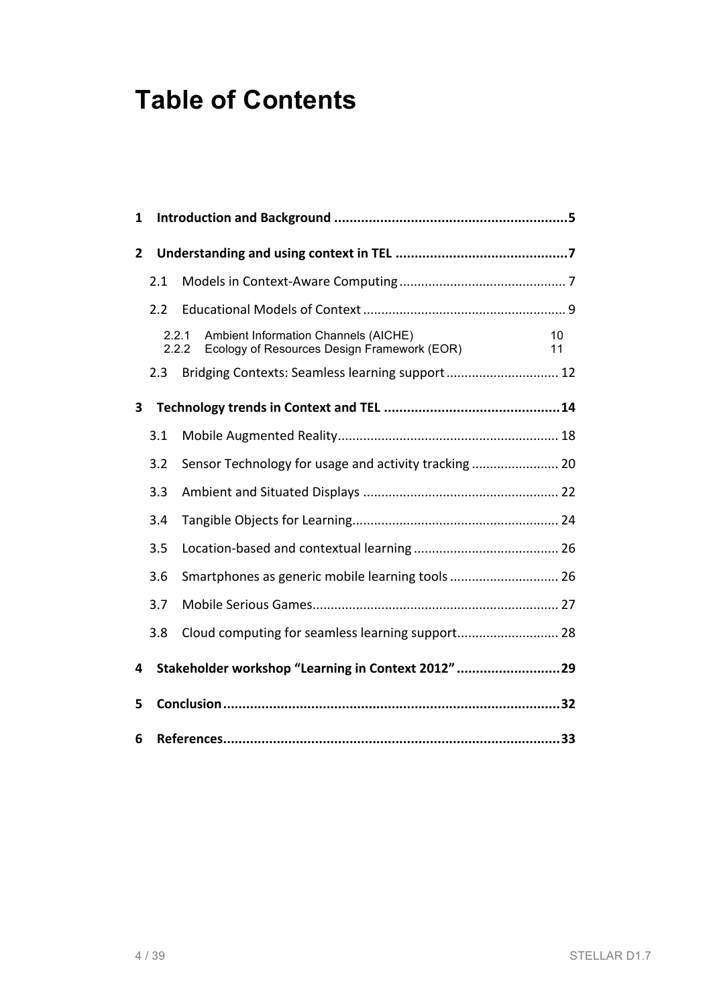# **Table of Contents**

| 1 |     |                                                                                                       |          |
|---|-----|-------------------------------------------------------------------------------------------------------|----------|
| 2 |     |                                                                                                       |          |
|   | 2.1 |                                                                                                       |          |
|   | 2.2 |                                                                                                       |          |
|   |     | Ambient Information Channels (AICHE)<br>2.2.1<br>2.2.2<br>Ecology of Resources Design Framework (EOR) | 10<br>11 |
|   | 2.3 | Bridging Contexts: Seamless learning support 12                                                       |          |
| 3 |     |                                                                                                       |          |
|   | 3.1 |                                                                                                       |          |
|   | 3.2 |                                                                                                       |          |
|   | 3.3 |                                                                                                       |          |
|   | 3.4 |                                                                                                       |          |
|   | 3.5 |                                                                                                       |          |
|   | 3.6 |                                                                                                       |          |
|   | 3.7 |                                                                                                       |          |
|   | 3.8 |                                                                                                       |          |
| 4 |     | Stakeholder workshop "Learning in Context 2012" 29                                                    |          |
| 5 |     |                                                                                                       |          |
| 6 |     |                                                                                                       |          |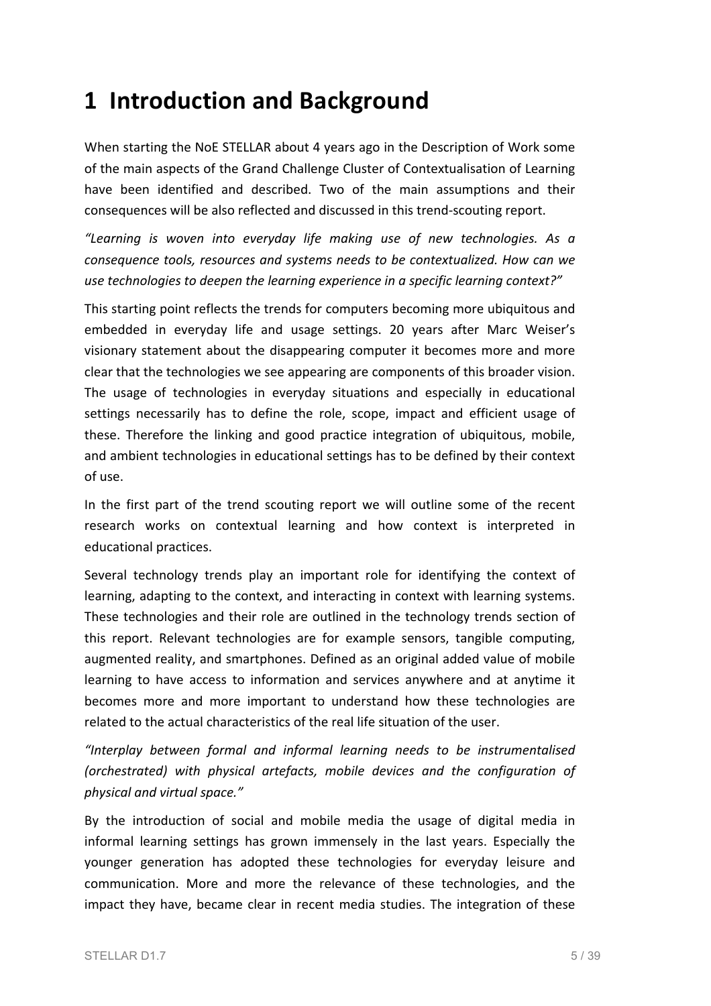## **1 Introduction and Background**

When starting the NoE STELLAR about 4 years ago in the Description of Work some of the main aspects of the Grand Challenge Cluster of Contextualisation of Learning have been identified and described. Two of the main assumptions and their consequences will be also reflected and discussed in this trend-scouting report.

*"Learning is woven into everyday life making use of new technologies. As a consequence tools, resources and systems needs to be contextualized. How can we* use technologies to deepen the learning experience in a specific learning context?"

This starting point reflects the trends for computers becoming more ubiquitous and embedded in everyday life and usage settings. 20 years after Marc Weiser's visionary statement about the disappearing computer it becomes more and more clear that the technologies we see appearing are components of this broader vision. The usage of technologies in everyday situations and especially in educational settings necessarily has to define the role, scope, impact and efficient usage of these. Therefore the linking and good practice integration of ubiquitous, mobile, and ambient technologies in educational settings has to be defined by their context of use.

In the first part of the trend scouting report we will outline some of the recent research works on contextual learning and how context is interpreted in educational practices.

Several technology trends play an important role for identifying the context of learning, adapting to the context, and interacting in context with learning systems. These technologies and their role are outlined in the technology trends section of this report. Relevant technologies are for example sensors, tangible computing, augmented reality, and smartphones. Defined as an original added value of mobile learning to have access to information and services anywhere and at anytime it becomes more and more important to understand how these technologies are related to the actual characteristics of the real life situation of the user.

*"Interplay between formal and informal learning needs to be instrumentalised (orchestrated) with physical artefacts, mobile devices and the configuration of physical and virtual space."*

By the introduction of social and mobile media the usage of digital media in informal learning settings has grown immensely in the last years. Especially the younger generation has adopted these technologies for everyday leisure and communication. More and more the relevance of these technologies, and the impact they have, became clear in recent media studies. The integration of these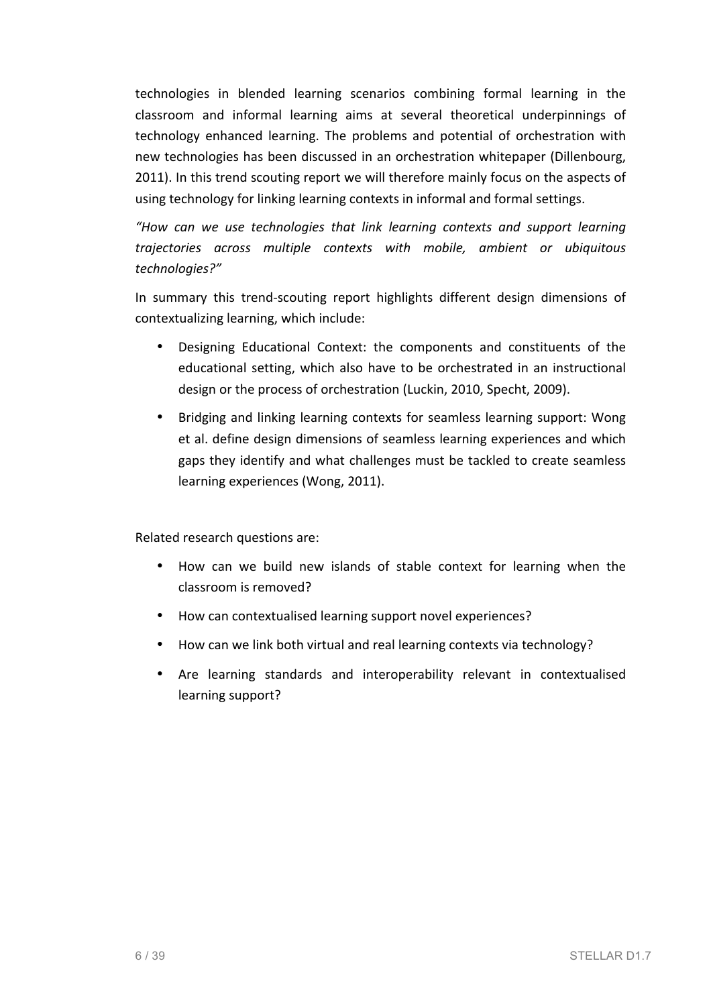technologies in blended learning scenarios combining formal learning in the classroom and informal learning aims at several theoretical underpinnings of technology enhanced learning. The problems and potential of orchestration with new technologies has been discussed in an orchestration whitepaper (Dillenbourg, 2011). In this trend scouting report we will therefore mainly focus on the aspects of using technology for linking learning contexts in informal and formal settings.

*"How can we use technologies that link learning contexts and support learning trajectories across multiple contexts with mobile, ambient or ubiquitous technologies?"* 

In summary this trend-scouting report highlights different design dimensions of contextualizing learning, which include:

- Designing Educational Context: the components and constituents of the educational setting, which also have to be orchestrated in an instructional design or the process of orchestration (Luckin, 2010, Specht, 2009).
- Bridging and linking learning contexts for seamless learning support: Wong et al. define design dimensions of seamless learning experiences and which gaps they identify and what challenges must be tackled to create seamless learning experiences (Wong, 2011).

Related research questions are:

- How can we build new islands of stable context for learning when the classroom is removed?
- How can contextualised learning support novel experiences?
- How can we link both virtual and real learning contexts via technology?
- Are learning standards and interoperability relevant in contextualised learning support?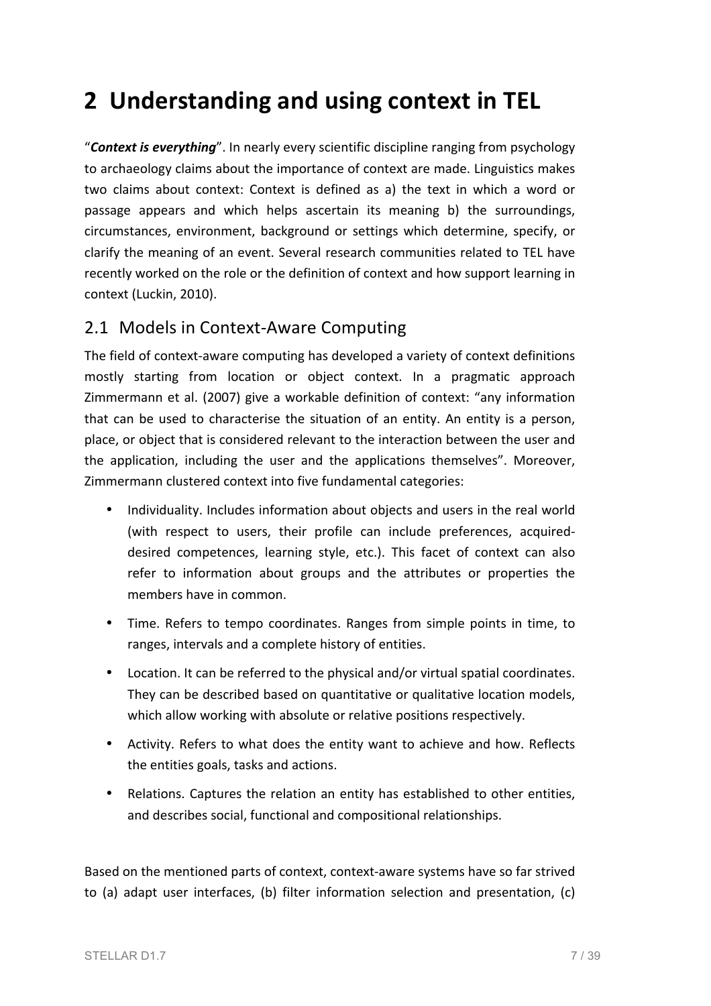# **2 Understanding and using context in TEL**

"**Context is everything**". In nearly every scientific discipline ranging from psychology to archaeology claims about the importance of context are made. Linguistics makes two claims about context: Context is defined as a) the text in which a word or passage appears and which helps ascertain its meaning b) the surroundings, circumstances, environment, background or settings which determine, specify, or clarify the meaning of an event. Several research communities related to TEL have recently worked on the role or the definition of context and how support learning in context (Luckin, 2010).

#### 2.1 Models in Context-Aware Computing

The field of context-aware computing has developed a variety of context definitions mostly starting from location or object context. In a pragmatic approach Zimmermann et al. (2007) give a workable definition of context: "any information that can be used to characterise the situation of an entity. An entity is a person, place, or object that is considered relevant to the interaction between the user and the application, including the user and the applications themselves". Moreover, Zimmermann clustered context into five fundamental categories:

- Individuality. Includes information about objects and users in the real world (with respect to users, their profile can include preferences, acquireddesired competences, learning style, etc.). This facet of context can also refer to information about groups and the attributes or properties the members have in common.
- Time. Refers to tempo coordinates. Ranges from simple points in time, to ranges, intervals and a complete history of entities.
- Location. It can be referred to the physical and/or virtual spatial coordinates. They can be described based on quantitative or qualitative location models, which allow working with absolute or relative positions respectively.
- Activity. Refers to what does the entity want to achieve and how. Reflects the entities goals, tasks and actions.
- Relations. Captures the relation an entity has established to other entities, and describes social, functional and compositional relationships.

Based on the mentioned parts of context, context-aware systems have so far strived to (a) adapt user interfaces, (b) filter information selection and presentation, (c)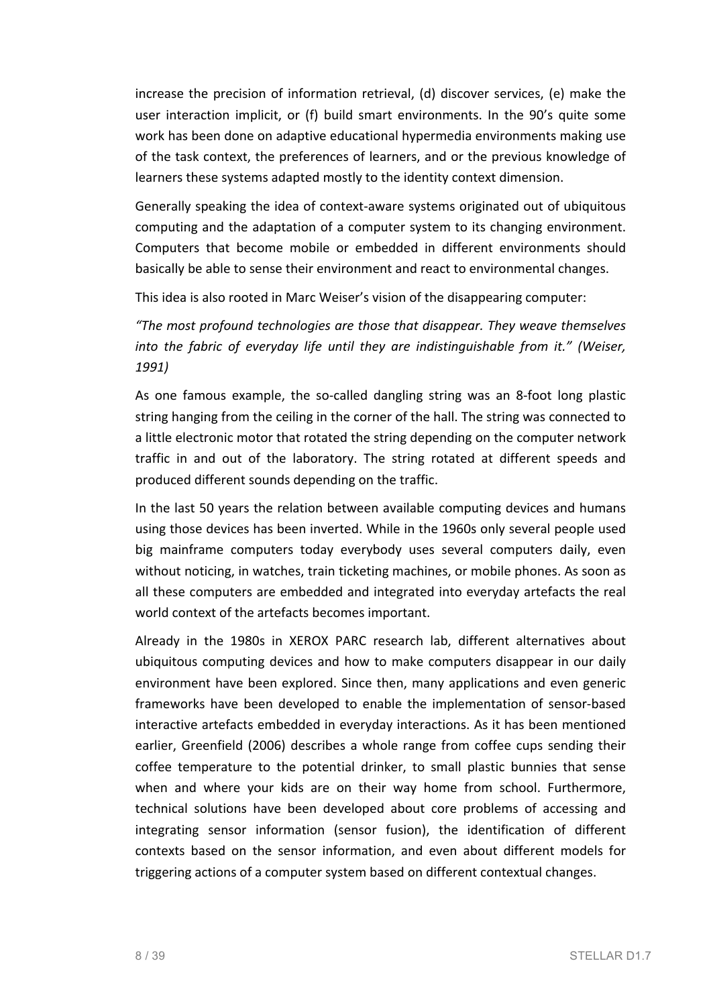increase the precision of information retrieval,  $(d)$  discover services,  $(e)$  make the user interaction implicit, or (f) build smart environments. In the 90's quite some work has been done on adaptive educational hypermedia environments making use of the task context, the preferences of learners, and or the previous knowledge of learners these systems adapted mostly to the identity context dimension.

Generally speaking the idea of context-aware systems originated out of ubiquitous computing and the adaptation of a computer system to its changing environment. Computers that become mobile or embedded in different environments should basically be able to sense their environment and react to environmental changes.

This idea is also rooted in Marc Weiser's vision of the disappearing computer:

*"The most profound technologies are those that disappear. They weave themselves into* the fabric of everyday life until they are indistinguishable from it." (Weiser, *1991)*

As one famous example, the so-called dangling string was an 8-foot long plastic string hanging from the ceiling in the corner of the hall. The string was connected to a little electronic motor that rotated the string depending on the computer network traffic in and out of the laboratory. The string rotated at different speeds and produced different sounds depending on the traffic.

In the last 50 years the relation between available computing devices and humans using those devices has been inverted. While in the 1960s only several people used big mainframe computers today everybody uses several computers daily, even without noticing, in watches, train ticketing machines, or mobile phones. As soon as all these computers are embedded and integrated into everyday artefacts the real world context of the artefacts becomes important.

Already in the 1980s in XEROX PARC research lab, different alternatives about ubiquitous computing devices and how to make computers disappear in our daily environment have been explored. Since then, many applications and even generic frameworks have been developed to enable the implementation of sensor-based interactive artefacts embedded in everyday interactions. As it has been mentioned earlier, Greenfield (2006) describes a whole range from coffee cups sending their coffee temperature to the potential drinker, to small plastic bunnies that sense when and where your kids are on their way home from school. Furthermore, technical solutions have been developed about core problems of accessing and integrating sensor information (sensor fusion), the identification of different contexts based on the sensor information, and even about different models for triggering actions of a computer system based on different contextual changes.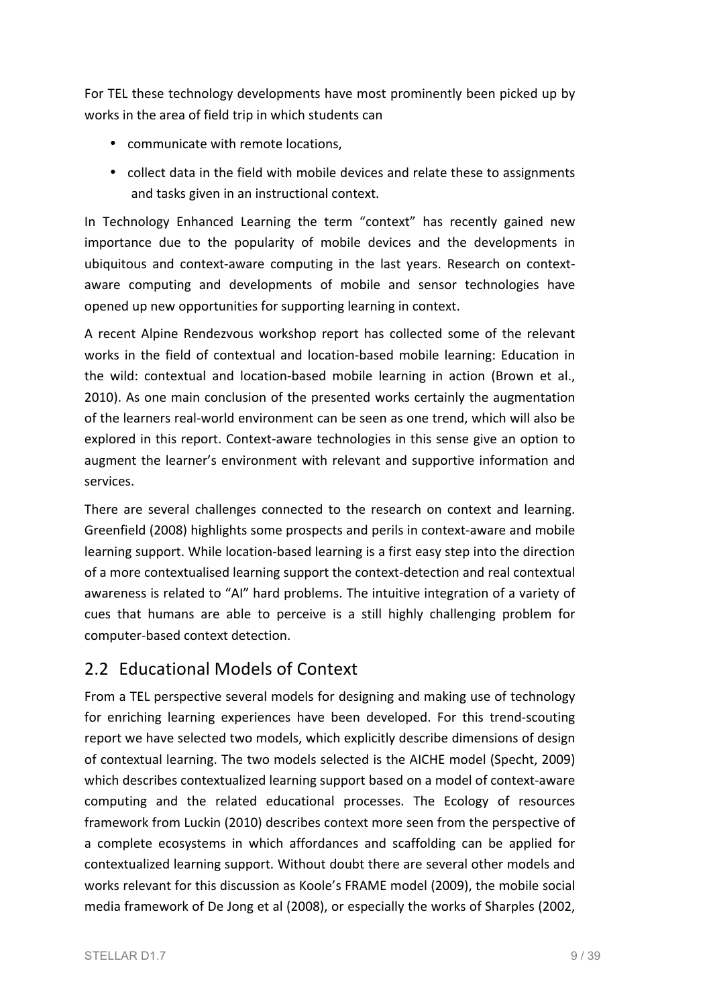For TEL these technology developments have most prominently been picked up by works in the area of field trip in which students can

- communicate with remote locations.
- collect data in the field with mobile devices and relate these to assignments and tasks given in an instructional context.

In Technology Enhanced Learning the term "context" has recently gained new importance due to the popularity of mobile devices and the developments in ubiquitous and context-aware computing in the last years. Research on contextaware computing and developments of mobile and sensor technologies have opened up new opportunities for supporting learning in context.

A recent Alpine Rendezvous workshop report has collected some of the relevant works in the field of contextual and location-based mobile learning: Education in the wild: contextual and location-based mobile learning in action (Brown et al., 2010). As one main conclusion of the presented works certainly the augmentation of the learners real-world environment can be seen as one trend, which will also be explored in this report. Context-aware technologies in this sense give an option to augment the learner's environment with relevant and supportive information and services. 

There are several challenges connected to the research on context and learning. Greenfield (2008) highlights some prospects and perils in context-aware and mobile learning support. While location-based learning is a first easy step into the direction of a more contextualised learning support the context-detection and real contextual awareness is related to "AI" hard problems. The intuitive integration of a variety of cues that humans are able to perceive is a still highly challenging problem for computer-based context detection.

## 2.2 Educational Models of Context

From a TEL perspective several models for designing and making use of technology for enriching learning experiences have been developed. For this trend-scouting report we have selected two models, which explicitly describe dimensions of design of contextual learning. The two models selected is the AICHE model (Specht, 2009) which describes contextualized learning support based on a model of context-aware computing and the related educational processes. The Ecology of resources framework from Luckin (2010) describes context more seen from the perspective of a complete ecosystems in which affordances and scaffolding can be applied for contextualized learning support. Without doubt there are several other models and works relevant for this discussion as Koole's FRAME model (2009), the mobile social media framework of De Jong et al (2008), or especially the works of Sharples (2002,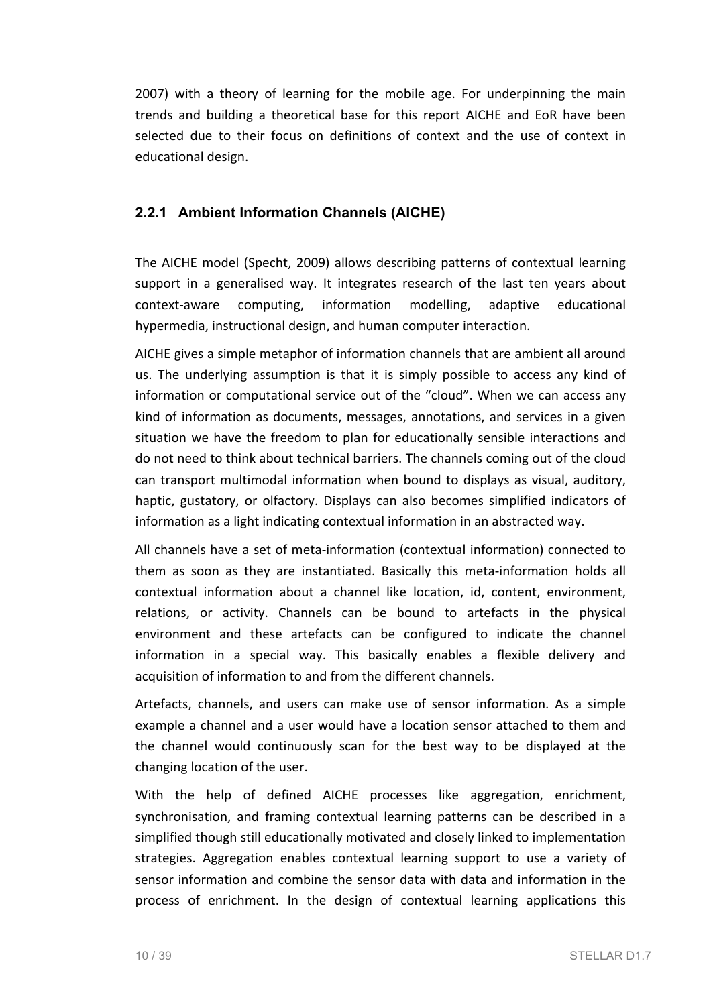2007) with a theory of learning for the mobile age. For underpinning the main trends and building a theoretical base for this report AICHE and EoR have been selected due to their focus on definitions of context and the use of context in educational design.

#### **2.2.1 Ambient Information Channels (AICHE)**

The AICHE model (Specht, 2009) allows describing patterns of contextual learning support in a generalised way. It integrates research of the last ten years about context-aware computing, information modelling, adaptive educational hypermedia, instructional design, and human computer interaction.

AICHE gives a simple metaphor of information channels that are ambient all around us. The underlying assumption is that it is simply possible to access any kind of information or computational service out of the "cloud". When we can access any kind of information as documents, messages, annotations, and services in a given situation we have the freedom to plan for educationally sensible interactions and do not need to think about technical barriers. The channels coming out of the cloud can transport multimodal information when bound to displays as visual, auditory, haptic, gustatory, or olfactory. Displays can also becomes simplified indicators of information as a light indicating contextual information in an abstracted way.

All channels have a set of meta-information (contextual information) connected to them as soon as they are instantiated. Basically this meta-information holds all contextual information about a channel like location, id, content, environment, relations, or activity. Channels can be bound to artefacts in the physical environment and these artefacts can be configured to indicate the channel information in a special way. This basically enables a flexible delivery and acquisition of information to and from the different channels.

Artefacts, channels, and users can make use of sensor information. As a simple example a channel and a user would have a location sensor attached to them and the channel would continuously scan for the best way to be displayed at the changing location of the user.

With the help of defined AICHE processes like aggregation, enrichment, synchronisation, and framing contextual learning patterns can be described in a simplified though still educationally motivated and closely linked to implementation strategies. Aggregation enables contextual learning support to use a variety of sensor information and combine the sensor data with data and information in the process of enrichment. In the design of contextual learning applications this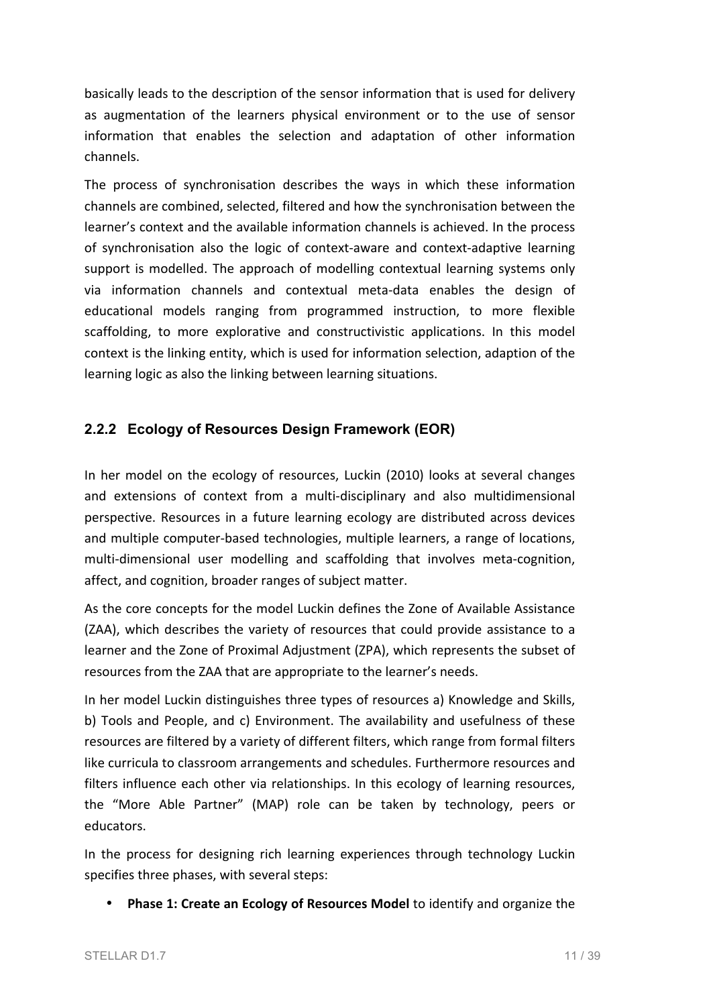basically leads to the description of the sensor information that is used for delivery as augmentation of the learners physical environment or to the use of sensor information that enables the selection and adaptation of other information channels.

The process of synchronisation describes the ways in which these information channels are combined, selected, filtered and how the synchronisation between the learner's context and the available information channels is achieved. In the process of synchronisation also the logic of context-aware and context-adaptive learning support is modelled. The approach of modelling contextual learning systems only via information channels and contextual meta-data enables the design of educational models ranging from programmed instruction, to more flexible scaffolding, to more explorative and constructivistic applications. In this model context is the linking entity, which is used for information selection, adaption of the learning logic as also the linking between learning situations.

#### **2.2.2 Ecology of Resources Design Framework (EOR)**

In her model on the ecology of resources, Luckin (2010) looks at several changes and extensions of context from a multi-disciplinary and also multidimensional perspective. Resources in a future learning ecology are distributed across devices and multiple computer-based technologies, multiple learners, a range of locations, multi-dimensional user modelling and scaffolding that involves meta-cognition, affect, and cognition, broader ranges of subject matter.

As the core concepts for the model Luckin defines the Zone of Available Assistance (ZAA), which describes the variety of resources that could provide assistance to a learner and the Zone of Proximal Adjustment (ZPA), which represents the subset of resources from the ZAA that are appropriate to the learner's needs.

In her model Luckin distinguishes three types of resources a) Knowledge and Skills, b) Tools and People, and c) Environment. The availability and usefulness of these resources are filtered by a variety of different filters, which range from formal filters like curricula to classroom arrangements and schedules. Furthermore resources and filters influence each other via relationships. In this ecology of learning resources, the "More Able Partner" (MAP) role can be taken by technology, peers or educators.

In the process for designing rich learning experiences through technology Luckin specifies three phases, with several steps:

• Phase 1: Create an Ecology of Resources Model to identify and organize the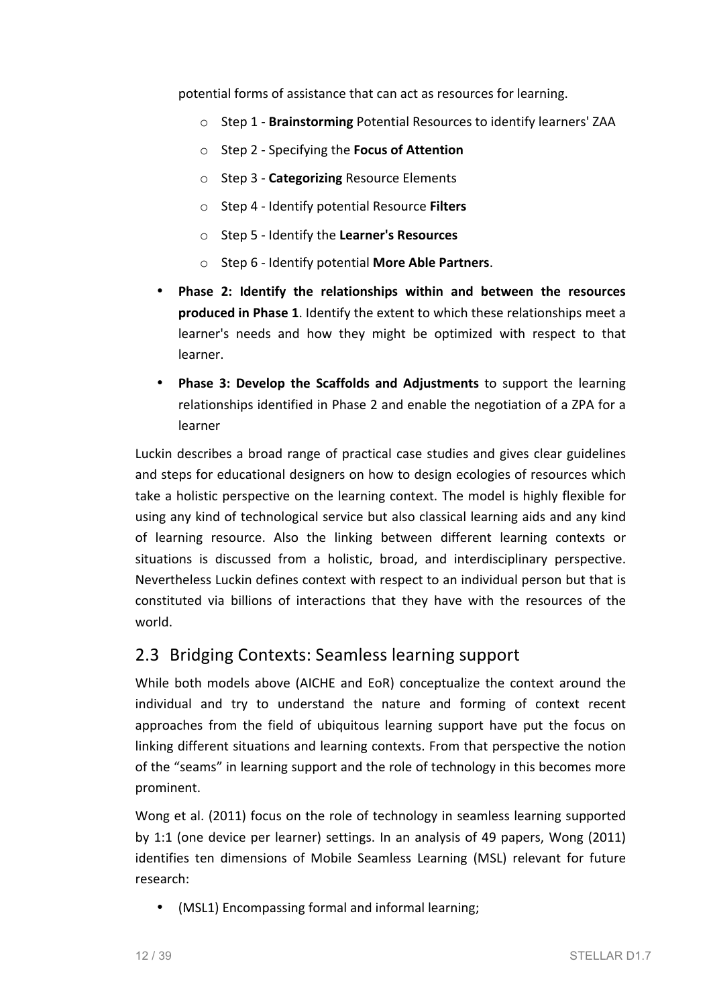potential forms of assistance that can act as resources for learning.

- o Step 1 **Brainstorming** Potential Resources to identify learners' ZAA
- o Step 2 - Specifying the **Focus of Attention**
- o Step 3 - **Categorizing** Resource Elements
- o Step 4 - Identify potential Resource **Filters**
- o Step 5 - Identify the **Learner's Resources**
- o Step 6 - Identify potential **More Able Partners**.
- Phase 2: Identify the relationships within and between the resources **produced in Phase 1.** Identify the extent to which these relationships meet a learner's needs and how they might be optimized with respect to that learner.
- **Phase 3: Develop the Scaffolds and Adjustments** to support the learning relationships identified in Phase 2 and enable the negotiation of a ZPA for a learner

Luckin describes a broad range of practical case studies and gives clear guidelines and steps for educational designers on how to design ecologies of resources which take a holistic perspective on the learning context. The model is highly flexible for using any kind of technological service but also classical learning aids and any kind of learning resource. Also the linking between different learning contexts or situations is discussed from a holistic, broad, and interdisciplinary perspective. Nevertheless Luckin defines context with respect to an individual person but that is constituted via billions of interactions that they have with the resources of the world.

#### 2.3 Bridging Contexts: Seamless learning support

While both models above (AICHE and EoR) conceptualize the context around the individual and try to understand the nature and forming of context recent approaches from the field of ubiquitous learning support have put the focus on linking different situations and learning contexts. From that perspective the notion of the "seams" in learning support and the role of technology in this becomes more prominent.

Wong et al. (2011) focus on the role of technology in seamless learning supported by 1:1 (one device per learner) settings. In an analysis of 49 papers, Wong (2011) identifies ten dimensions of Mobile Seamless Learning (MSL) relevant for future research:

• (MSL1) Encompassing formal and informal learning;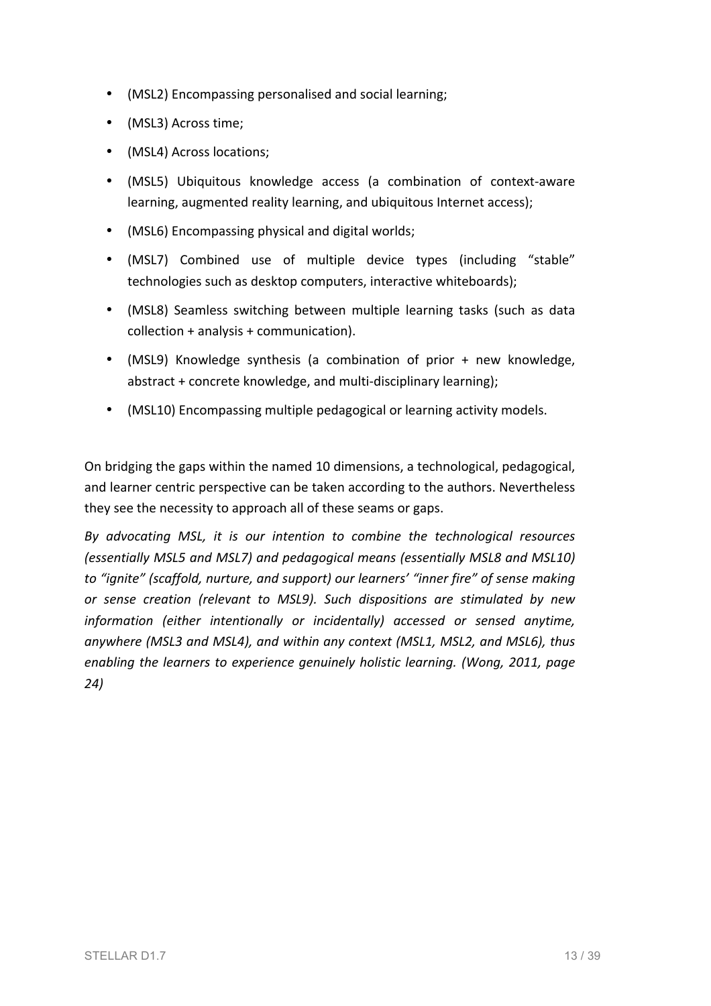- (MSL2) Encompassing personalised and social learning;
- (MSL3) Across time;
- (MSL4) Across locations;
- (MSL5) Ubiquitous knowledge access (a combination of context-aware learning, augmented reality learning, and ubiquitous Internet access);
- (MSL6) Encompassing physical and digital worlds;
- (MSL7) Combined use of multiple device types (including "stable" technologies such as desktop computers, interactive whiteboards);
- (MSL8) Seamless switching between multiple learning tasks (such as data  $collection + analysis + communication).$
- (MSL9) Knowledge synthesis (a combination of prior + new knowledge, abstract + concrete knowledge, and multi-disciplinary learning);
- (MSL10) Encompassing multiple pedagogical or learning activity models.

On bridging the gaps within the named 10 dimensions, a technological, pedagogical, and learner centric perspective can be taken according to the authors. Nevertheless they see the necessity to approach all of these seams or gaps.

By advocating MSL, it is our intention to combine the technological resources *(essentially MSL5 and MSL7) and pedagogical means (essentially MSL8 and MSL10)*  to "ignite" (scaffold, nurture, and support) our learners' "inner fire" of sense making *or* sense creation (relevant to MSL9). Such dispositions are stimulated by new *information* (either intentionally or incidentally) accessed or sensed anytime, anywhere (MSL3 and MSL4), and within any context (MSL1, MSL2, and MSL6), thus enabling the learners to experience genuinely holistic learning. (Wong, 2011, page *24)*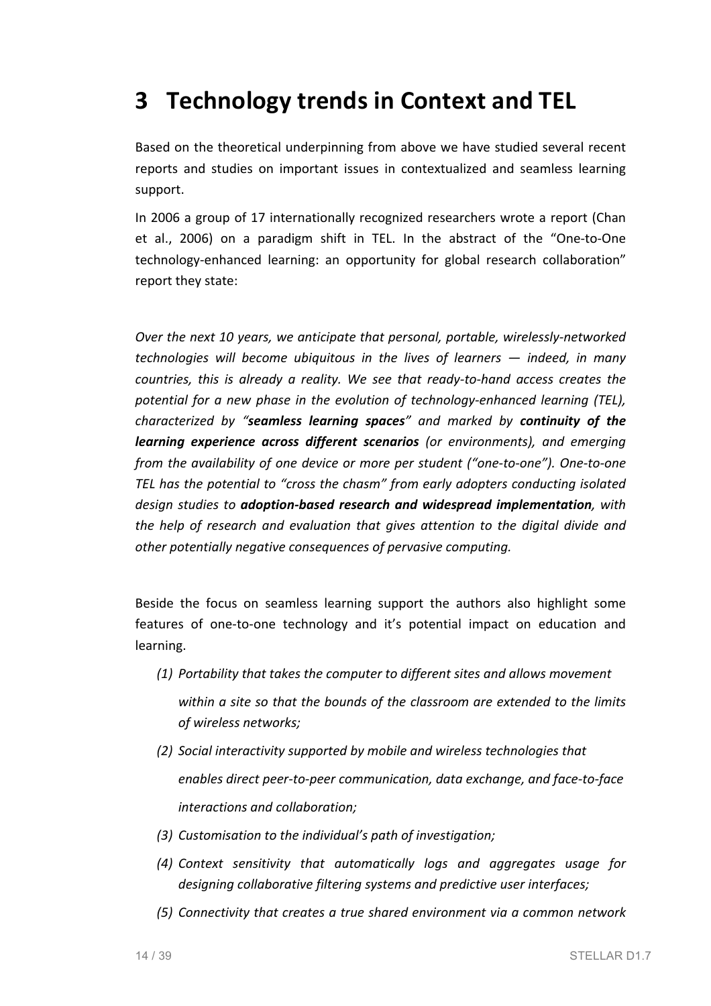# **3 Technology trends in Context and TEL**

Based on the theoretical underpinning from above we have studied several recent reports and studies on important issues in contextualized and seamless learning support.

In 2006 a group of 17 internationally recognized researchers wrote a report (Chan et al., 2006) on a paradigm shift in TEL. In the abstract of the "One-to-One technology-enhanced learning: an opportunity for global research collaboration" report they state:

*Over the next 10 years, we anticipate that personal, portable, wirelessly-networked technologies* will become ubiquitous in the lives of learners  $-$  *indeed,* in many *countries, this is already a reality. We see that ready-to-hand access creates the potential for a new phase in the evolution of technology-enhanced learning (TEL), characterized by "seamless learning spaces" and marked by continuity of the learning experience across different scenarios (or environments), and emerging from the availability of one device or more per student ("one-to-one"). One-to-one* TEL has the potential to "cross the chasm" from early adopters conducting isolated design studies to **adoption-based research and widespread implementation**, with *the help of research and evaluation that gives attention to the digital divide and* other potentially negative consequences of pervasive computing.

Beside the focus on seamless learning support the authors also highlight some features of one-to-one technology and it's potential impact on education and learning. 

- *(1) Portability that takes the computer to different sites and allows movement* within a site so that the bounds of the classroom are extended to the limits *of wireless networks;*
- *(2) Social interactivity supported by mobile and wireless technologies that enables direct peer-to-peer communication, data exchange, and face-to-face interactions and collaboration;*
- *(3) Customisation to the individual's path of investigation;*
- *(4) Context sensitivity that automatically logs and aggregates usage for designing collaborative filtering* systems and predictive user interfaces;
- *(5) Connectivity that creates a true shared environment via a common network*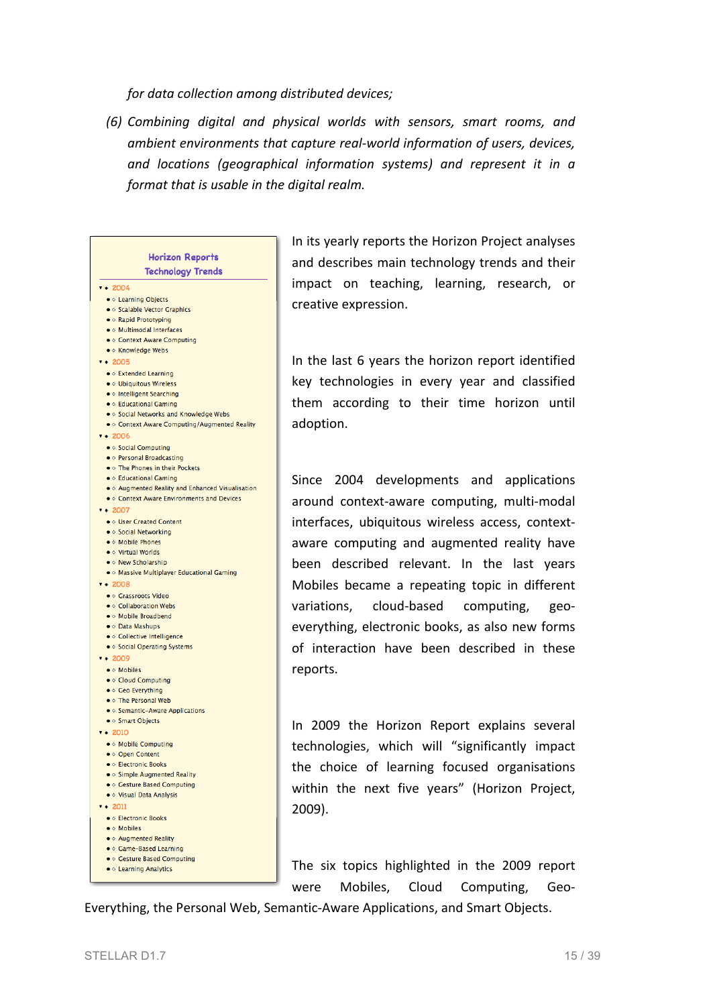*for data collection among distributed devices;*

*(6) Combining digital and physical worlds with sensors, smart rooms, and ambient environments that capture real-world information of users, devices,* and locations (geographical information systems) and represent it in a *format that is usable in the digital realm.* 

| <b>Horizon Reports</b>                             |  |
|----------------------------------------------------|--|
| <b>Technology Trends</b>                           |  |
| $\sqrt{4}$ 2004                                    |  |
| . Learning Objects                                 |  |
| • Calable Vector Graphics                          |  |
| ● © Rapid Prototyping                              |  |
| . Multimodal Interfaces                            |  |
| • © Context Aware Computing                        |  |
| ● ◇ Knowledge Webs                                 |  |
| $\sqrt{4}$ 2005                                    |  |
| • © Extended Learning                              |  |
| · Ubiquitous Wireless<br>· Intelligent Searching   |  |
| · Educational Gaming                               |  |
| . Social Networks and Knowledge Webs               |  |
| . Context Aware Computing/Augmented Reality        |  |
| 7.42006                                            |  |
| ● ◇ Social Computing                               |  |
| • O Personal Broadcasting                          |  |
| . The Phones in their Pockets                      |  |
| · Educational Gaming                               |  |
| . Augmented Reality and Enhanced Visualisation     |  |
| . Context Aware Environments and Devices           |  |
| $\sqrt{4}$ 2007                                    |  |
| . User Created Content                             |  |
| ● ◇ Social Networking                              |  |
| . Mobile Phones<br>● ◇ Virtual Worlds              |  |
| . New Scholarship                                  |  |
| . Massive Multiplayer Educational Gaming           |  |
| $-2008$                                            |  |
| ● © Grassroots Video                               |  |
| . Collaboration Webs                               |  |
| • O Mobile Broadbend                               |  |
| ● ○ Data Mashups                                   |  |
| • Oollective Intelligence                          |  |
| • Social Operating Systems                         |  |
| 7.42009                                            |  |
| $\bullet \diamond$ Mobiles                         |  |
| ● © Cloud Computing                                |  |
| ● ◇ Geo Everything                                 |  |
| . The Personal Web                                 |  |
| • Semantic-Aware Applications<br>• O Smart Objects |  |
| 7.42010                                            |  |
|                                                    |  |
| • O Mobile Computing<br>● ◇ Open Content           |  |
| <b>• © Electronic Books</b>                        |  |
| • Simple Augmented Reality                         |  |
| • © Gesture Based Computing                        |  |
| . Visual Data Analysis                             |  |
| $\sqrt{2011}$                                      |  |
| <b>• © Electronic Books</b>                        |  |
| · Mobiles                                          |  |
| ● ◇ Augmented Reality                              |  |
| ● ◇ Game-Based Learning                            |  |
| • © Gesture Based Computing                        |  |
| • © Learning Analytics                             |  |

In its yearly reports the Horizon Project analyses and describes main technology trends and their impact on teaching, learning, research, or creative expression.

In the last 6 years the horizon report identified key technologies in every year and classified them according to their time horizon until adoption. 

Since 2004 developments and applications around context-aware computing, multi-modal interfaces, ubiquitous wireless access, contextaware computing and augmented reality have been described relevant. In the last years Mobiles became a repeating topic in different variations, cloud-based computing, geoeverything, electronic books, as also new forms of interaction have been described in these reports.

In 2009 the Horizon Report explains several technologies, which will "significantly impact the choice of learning focused organisations within the next five years" (Horizon Project, 2009).

The six topics highlighted in the 2009 report were Mobiles, Cloud Computing, Geo-

Everything, the Personal Web, Semantic-Aware Applications, and Smart Objects.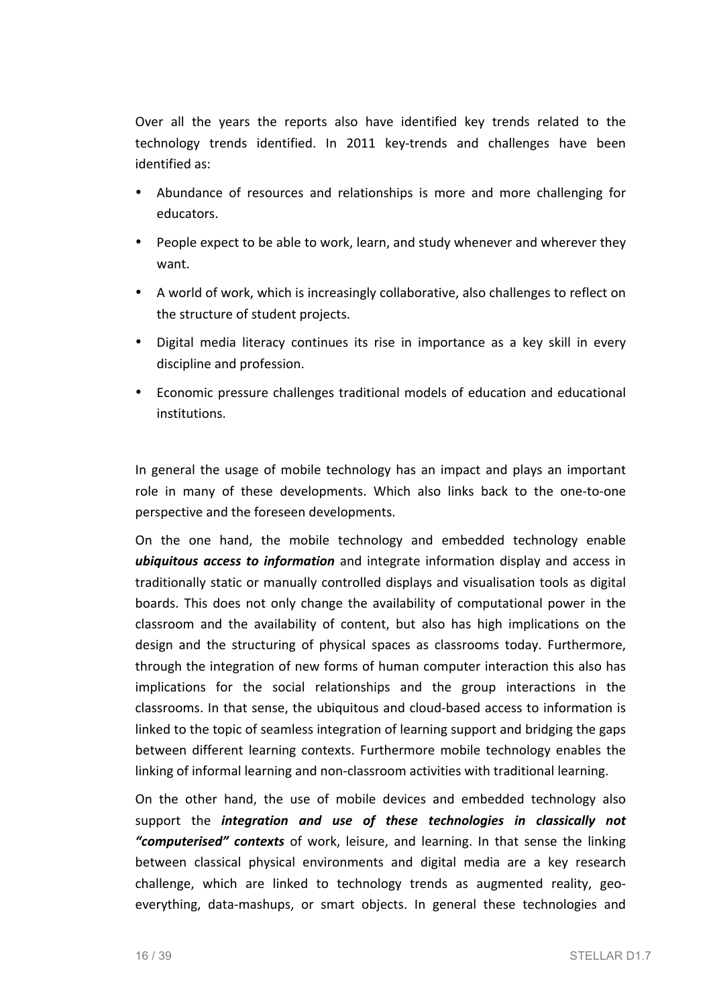Over all the years the reports also have identified key trends related to the technology trends identified. In 2011 key-trends and challenges have been identified as:

- Abundance of resources and relationships is more and more challenging for educators.
- People expect to be able to work, learn, and study whenever and wherever they want.
- A world of work, which is increasingly collaborative, also challenges to reflect on the structure of student projects.
- Digital media literacy continues its rise in importance as a key skill in every discipline and profession.
- Economic pressure challenges traditional models of education and educational institutions.

In general the usage of mobile technology has an impact and plays an important role in many of these developments. Which also links back to the one-to-one perspective and the foreseen developments.

On the one hand, the mobile technology and embedded technology enable **ubiquitous access to information** and integrate information display and access in traditionally static or manually controlled displays and visualisation tools as digital boards. This does not only change the availability of computational power in the classroom and the availability of content, but also has high implications on the design and the structuring of physical spaces as classrooms today. Furthermore, through the integration of new forms of human computer interaction this also has implications for the social relationships and the group interactions in the classrooms. In that sense, the ubiquitous and cloud-based access to information is linked to the topic of seamless integration of learning support and bridging the gaps between different learning contexts. Furthermore mobile technology enables the linking of informal learning and non-classroom activities with traditional learning.

On the other hand, the use of mobile devices and embedded technology also support the *integration and use of these technologies in classically not* "**computerised"** contexts of work, leisure, and learning. In that sense the linking between classical physical environments and digital media are a key research challenge, which are linked to technology trends as augmented reality, geoeverything, data-mashups, or smart objects. In general these technologies and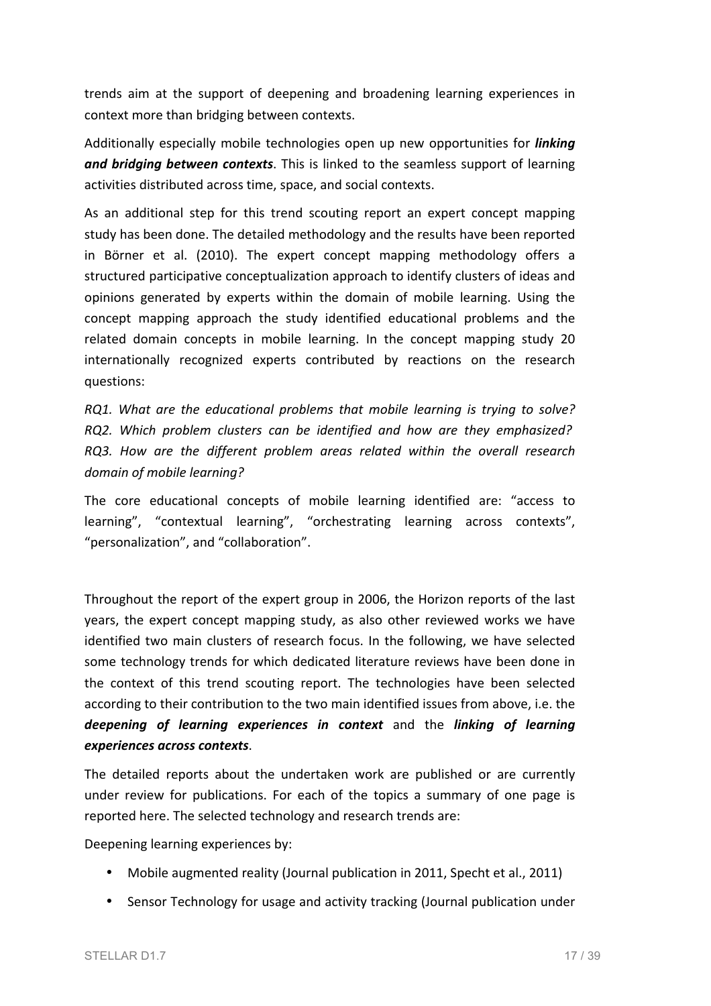trends aim at the support of deepening and broadening learning experiences in context more than bridging between contexts.

Additionally especially mobile technologies open up new opportunities for *linking and bridging between contexts*. This is linked to the seamless support of learning activities distributed across time, space, and social contexts.

As an additional step for this trend scouting report an expert concept mapping study has been done. The detailed methodology and the results have been reported in Börner et al. (2010). The expert concept mapping methodology offers a structured participative conceptualization approach to identify clusters of ideas and opinions generated by experts within the domain of mobile learning. Using the concept mapping approach the study identified educational problems and the related domain concepts in mobile learning. In the concept mapping study 20 internationally recognized experts contributed by reactions on the research questions:

*RQ1. What are the educational problems that mobile learning is trying to solve? RQ2. Which problem clusters can be identified and how are they emphasized? RQ3. How are the different problem areas related within the overall research domain of mobile learning?*

The core educational concepts of mobile learning identified are: "access to learning", "contextual learning", "orchestrating learning across contexts", "personalization", and "collaboration".

Throughout the report of the expert group in 2006, the Horizon reports of the last years, the expert concept mapping study, as also other reviewed works we have identified two main clusters of research focus. In the following, we have selected some technology trends for which dedicated literature reviews have been done in the context of this trend scouting report. The technologies have been selected according to their contribution to the two main identified issues from above, i.e. the **deepening of learning experiences in context** and the *linking of learning experiences across contexts*.

The detailed reports about the undertaken work are published or are currently under review for publications. For each of the topics a summary of one page is reported here. The selected technology and research trends are:

Deepening learning experiences by:

- Mobile augmented reality (Journal publication in 2011, Specht et al., 2011)
- Sensor Technology for usage and activity tracking (Journal publication under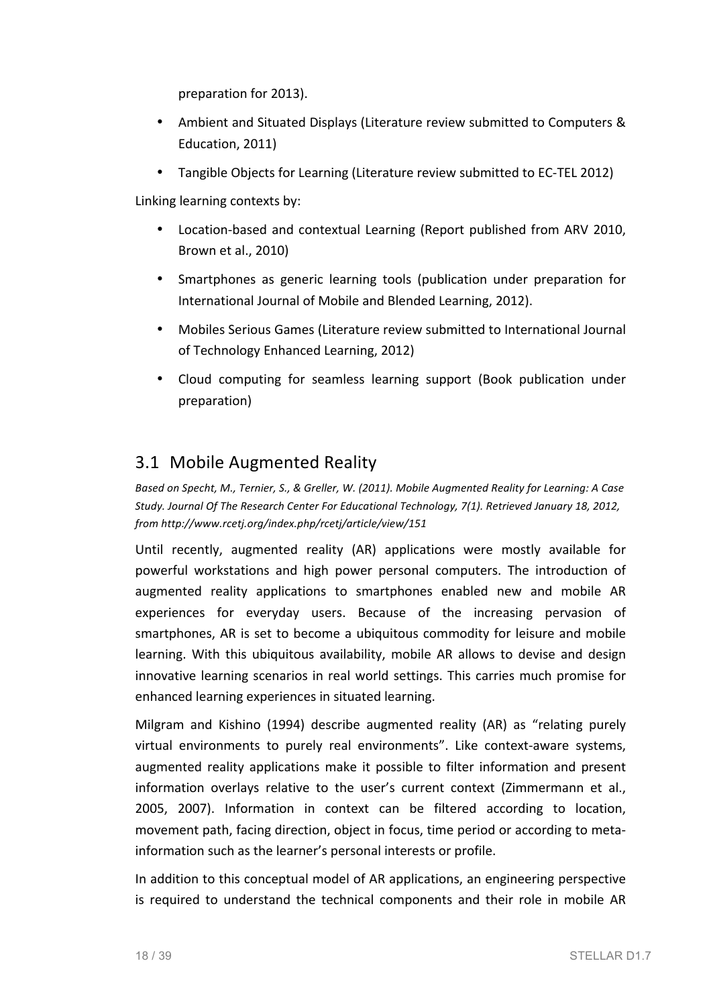preparation for 2013).

- Ambient and Situated Displays (Literature review submitted to Computers & Education, 2011)
- Tangible Objects for Learning (Literature review submitted to EC-TEL 2012)

Linking learning contexts by:

- Location-based and contextual Learning (Report published from ARV 2010, Brown et al., 2010)
- Smartphones as generic learning tools (publication under preparation for International Journal of Mobile and Blended Learning, 2012).
- Mobiles Serious Games (Literature review submitted to International Journal of Technology Enhanced Learning, 2012)
- Cloud computing for seamless learning support (Book publication under preparation)

#### 3.1 Mobile Augmented Reality

Based on Specht, M., Ternier, S., & Greller, W. (2011). Mobile Augmented Reality for Learning: A Case *Study. Journal Of The Research Center For Educational Technology, 7(1). Retrieved January 18, 2012, from http://www.rcetj.org/index.php/rcetj/article/view/151*

Until recently, augmented reality (AR) applications were mostly available for powerful workstations and high power personal computers. The introduction of augmented reality applications to smartphones enabled new and mobile AR experiences for everyday users. Because of the increasing pervasion of smartphones, AR is set to become a ubiquitous commodity for leisure and mobile learning. With this ubiquitous availability, mobile AR allows to devise and design innovative learning scenarios in real world settings. This carries much promise for enhanced learning experiences in situated learning.

Milgram and Kishino (1994) describe augmented reality (AR) as "relating purely virtual environments to purely real environments". Like context-aware systems, augmented reality applications make it possible to filter information and present information overlays relative to the user's current context (Zimmermann et al., 2005, 2007). Information in context can be filtered according to location, movement path, facing direction, object in focus, time period or according to metainformation such as the learner's personal interests or profile.

In addition to this conceptual model of AR applications, an engineering perspective is required to understand the technical components and their role in mobile AR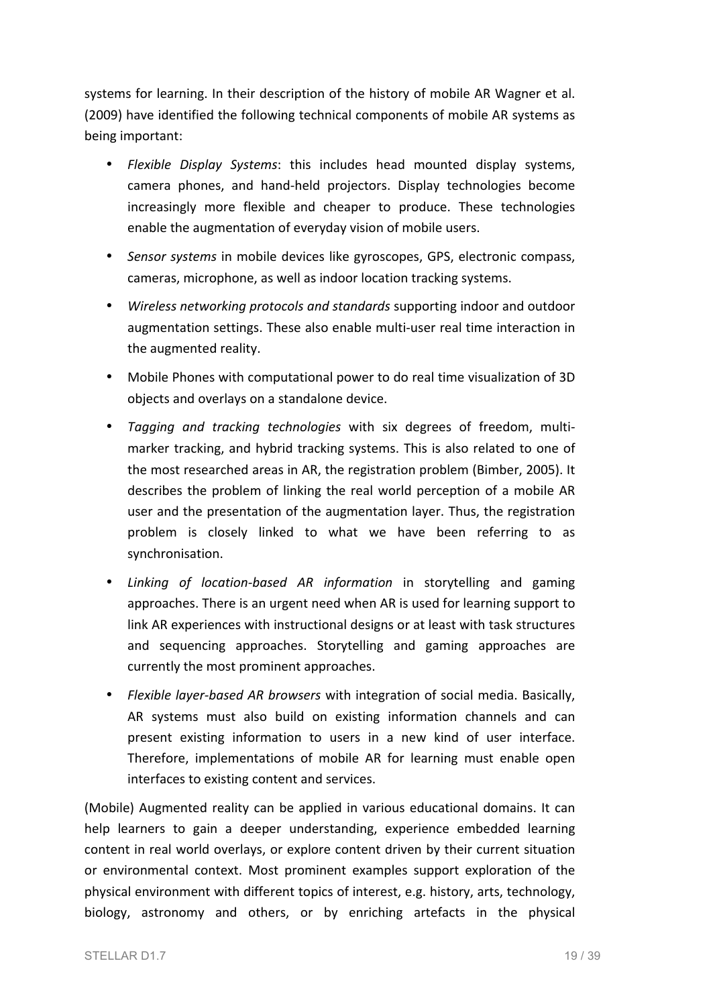systems for learning. In their description of the history of mobile AR Wagner et al. (2009) have identified the following technical components of mobile AR systems as being important:

- *Flexible Display Systems*: this includes head mounted display systems, camera phones, and hand-held projectors. Display technologies become increasingly more flexible and cheaper to produce. These technologies enable the augmentation of everyday vision of mobile users.
- *Sensor systems* in mobile devices like gyroscopes, GPS, electronic compass, cameras, microphone, as well as indoor location tracking systems.
- *Wireless networking protocols and standards* supporting indoor and outdoor augmentation settings. These also enable multi-user real time interaction in the augmented reality.
- Mobile Phones with computational power to do real time visualization of 3D objects and overlays on a standalone device.
- *Tagging and tracking technologies* with six degrees of freedom, multimarker tracking, and hybrid tracking systems. This is also related to one of the most researched areas in AR, the registration problem (Bimber, 2005). It describes the problem of linking the real world perception of a mobile AR user and the presentation of the augmentation layer. Thus, the registration problem is closely linked to what we have been referring to as synchronisation.
- *Linking of location-based AR information* in storytelling and gaming approaches. There is an urgent need when AR is used for learning support to link AR experiences with instructional designs or at least with task structures and sequencing approaches. Storytelling and gaming approaches are currently the most prominent approaches.
- *Flexible layer-based AR browsers* with integration of social media. Basically, AR systems must also build on existing information channels and can present existing information to users in a new kind of user interface. Therefore, implementations of mobile AR for learning must enable open interfaces to existing content and services.

(Mobile) Augmented reality can be applied in various educational domains. It can help learners to gain a deeper understanding, experience embedded learning content in real world overlays, or explore content driven by their current situation or environmental context. Most prominent examples support exploration of the physical environment with different topics of interest, e.g. history, arts, technology, biology, astronomy and others, or by enriching artefacts in the physical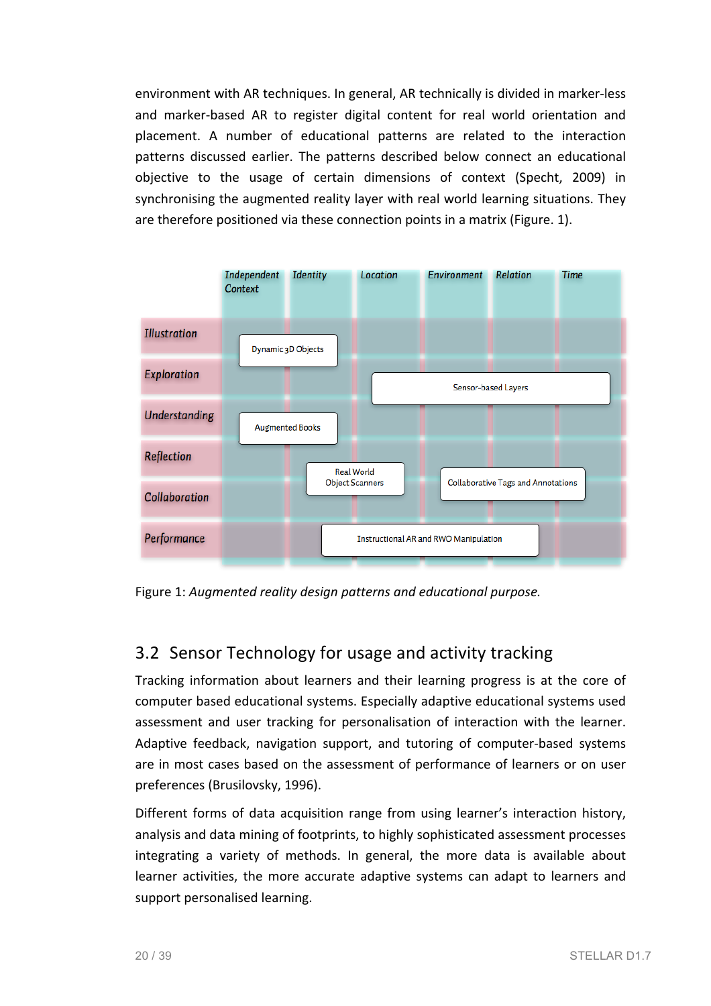environment with AR techniques. In general, AR technically is divided in marker-less and marker-based AR to register digital content for real world orientation and placement. A number of educational patterns are related to the interaction patterns discussed earlier. The patterns described below connect an educational objective to the usage of certain dimensions of context (Specht, 2009) in synchronising the augmented reality layer with real world learning situations. They are therefore positioned via these connection points in a matrix (Figure. 1).



Figure 1: Augmented reality design patterns and educational purpose.

## 3.2 Sensor Technology for usage and activity tracking

Tracking information about learners and their learning progress is at the core of computer based educational systems. Especially adaptive educational systems used assessment and user tracking for personalisation of interaction with the learner. Adaptive feedback, navigation support, and tutoring of computer-based systems are in most cases based on the assessment of performance of learners or on user preferences (Brusilovsky, 1996).

Different forms of data acquisition range from using learner's interaction history, analysis and data mining of footprints, to highly sophisticated assessment processes integrating a variety of methods. In general, the more data is available about learner activities, the more accurate adaptive systems can adapt to learners and support personalised learning.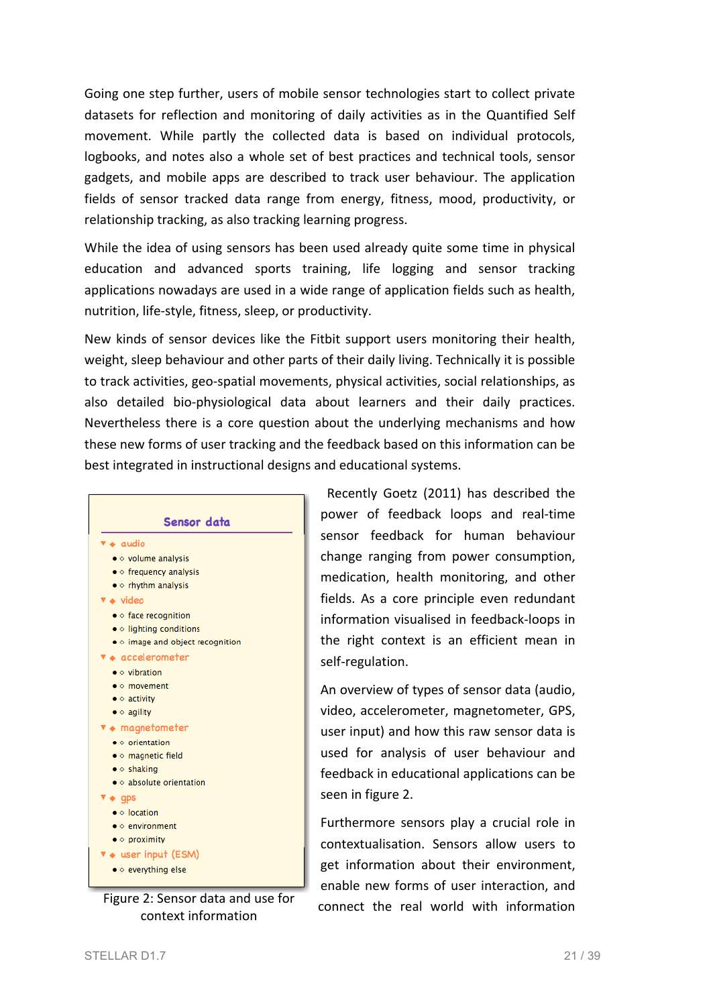Going one step further, users of mobile sensor technologies start to collect private datasets for reflection and monitoring of daily activities as in the Quantified Self movement. While partly the collected data is based on individual protocols, logbooks, and notes also a whole set of best practices and technical tools, sensor gadgets, and mobile apps are described to track user behaviour. The application fields of sensor tracked data range from energy, fitness, mood, productivity, or relationship tracking, as also tracking learning progress.

While the idea of using sensors has been used already quite some time in physical education and advanced sports training, life logging and sensor tracking applications nowadays are used in a wide range of application fields such as health, nutrition, life-style, fitness, sleep, or productivity.

New kinds of sensor devices like the Fitbit support users monitoring their health, weight, sleep behaviour and other parts of their daily living. Technically it is possible to track activities, geo-spatial movements, physical activities, social relationships, as also detailed bio-physiological data about learners and their daily practices. Nevertheless there is a core question about the underlying mechanisms and how these new forms of user tracking and the feedback based on this information can be best integrated in instructional designs and educational systems.



context information

Recently Goetz (2011) has described the power of feedback loops and real-time sensor feedback for human behaviour change ranging from power consumption. medication, health monitoring, and other fields. As a core principle even redundant information visualised in feedback-loops in the right context is an efficient mean in self-regulation.

An overview of types of sensor data (audio, video, accelerometer, magnetometer, GPS, user input) and how this raw sensor data is used for analysis of user behaviour and feedback in educational applications can be seen in figure 2.

Furthermore sensors play a crucial role in contextualisation. Sensors allow users to get information about their environment, enable new forms of user interaction, and Figure 2: Sensor data and use for  $\frac{1}{2}$  connect the real world with information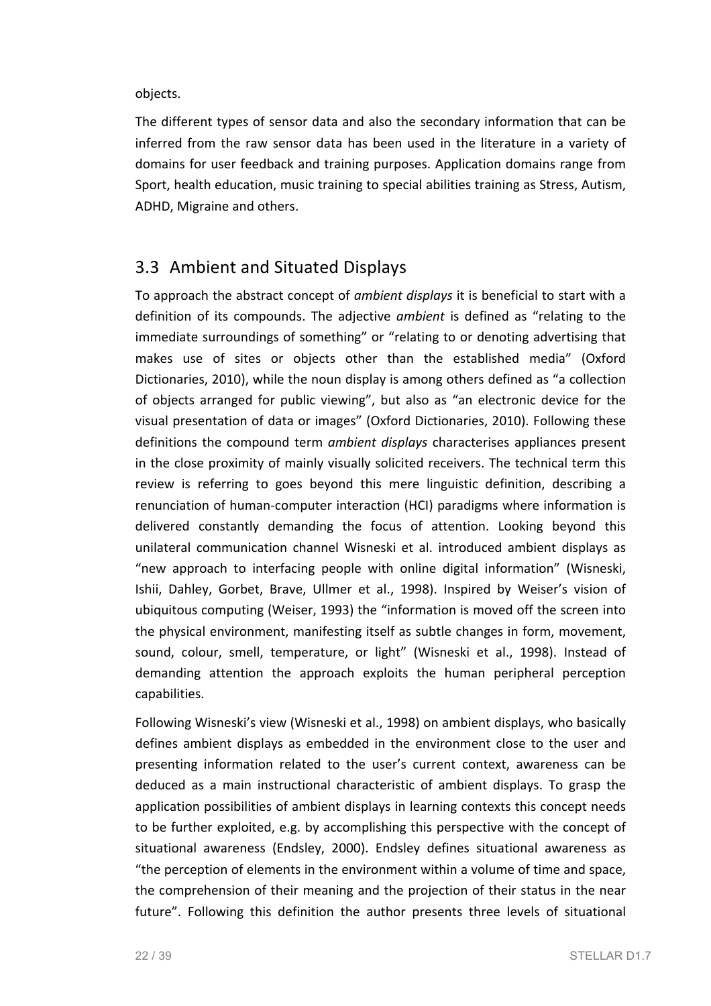objects. 

The different types of sensor data and also the secondary information that can be inferred from the raw sensor data has been used in the literature in a variety of domains for user feedback and training purposes. Application domains range from Sport, health education, music training to special abilities training as Stress, Autism, ADHD, Migraine and others.

### 3.3 Ambient and Situated Displays

To approach the abstract concept of *ambient displays* it is beneficial to start with a definition of its compounds. The adjective *ambient* is defined as "relating to the immediate surroundings of something" or "relating to or denoting advertising that makes use of sites or objects other than the established media" (Oxford Dictionaries, 2010), while the noun display is among others defined as "a collection of objects arranged for public viewing", but also as "an electronic device for the visual presentation of data or images" (Oxford Dictionaries, 2010). Following these definitions the compound term *ambient displays* characterises appliances present in the close proximity of mainly visually solicited receivers. The technical term this review is referring to goes beyond this mere linguistic definition, describing a renunciation of human-computer interaction (HCI) paradigms where information is delivered constantly demanding the focus of attention. Looking beyond this unilateral communication channel Wisneski et al. introduced ambient displays as "new approach to interfacing people with online digital information" (Wisneski, Ishii, Dahley, Gorbet, Brave, Ullmer et al., 1998). Inspired by Weiser's vision of ubiquitous computing (Weiser, 1993) the "information is moved off the screen into the physical environment, manifesting itself as subtle changes in form, movement, sound, colour, smell, temperature, or light" (Wisneski et al., 1998). Instead of demanding attention the approach exploits the human peripheral perception capabilities.

Following Wisneski's view (Wisneski et al., 1998) on ambient displays, who basically defines ambient displays as embedded in the environment close to the user and presenting information related to the user's current context, awareness can be deduced as a main instructional characteristic of ambient displays. To grasp the application possibilities of ambient displays in learning contexts this concept needs to be further exploited, e.g. by accomplishing this perspective with the concept of situational awareness (Endsley, 2000). Endsley defines situational awareness as "the perception of elements in the environment within a volume of time and space, the comprehension of their meaning and the projection of their status in the near future". Following this definition the author presents three levels of situational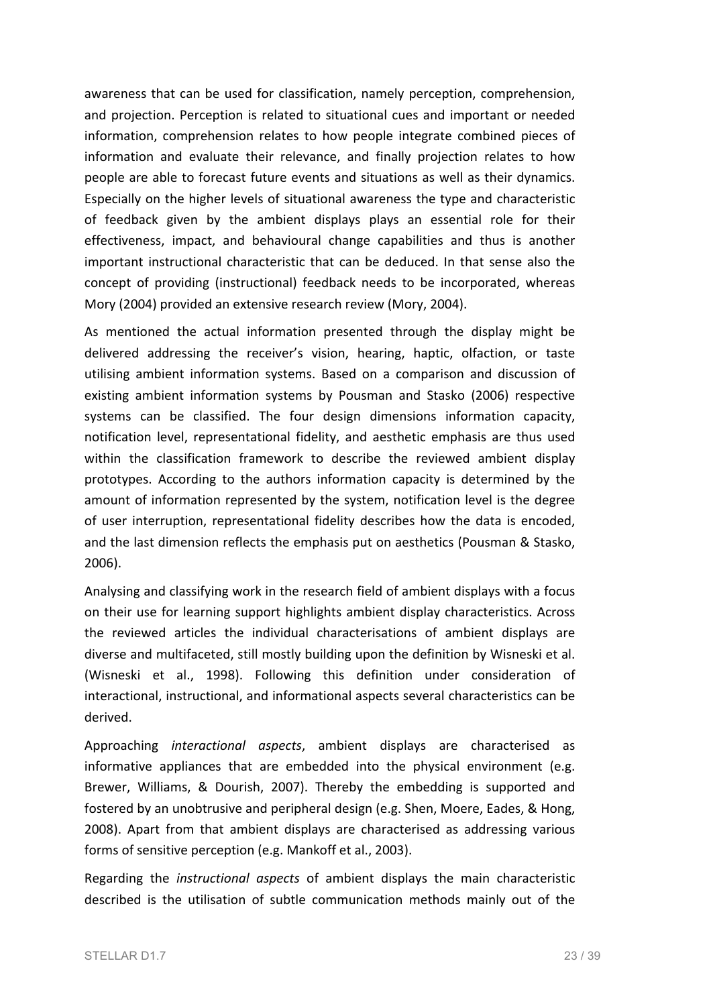awareness that can be used for classification, namely perception, comprehension, and projection. Perception is related to situational cues and important or needed information, comprehension relates to how people integrate combined pieces of information and evaluate their relevance, and finally projection relates to how people are able to forecast future events and situations as well as their dynamics. Especially on the higher levels of situational awareness the type and characteristic of feedback given by the ambient displays plays an essential role for their effectiveness, impact, and behavioural change capabilities and thus is another important instructional characteristic that can be deduced. In that sense also the concept of providing (instructional) feedback needs to be incorporated, whereas Mory (2004) provided an extensive research review (Mory, 2004).

As mentioned the actual information presented through the display might be delivered addressing the receiver's vision, hearing, haptic, olfaction, or taste utilising ambient information systems. Based on a comparison and discussion of existing ambient information systems by Pousman and Stasko (2006) respective systems can be classified. The four design dimensions information capacity, notification level, representational fidelity, and aesthetic emphasis are thus used within the classification framework to describe the reviewed ambient display prototypes. According to the authors information capacity is determined by the amount of information represented by the system, notification level is the degree of user interruption, representational fidelity describes how the data is encoded, and the last dimension reflects the emphasis put on aesthetics (Pousman & Stasko, 2006).

Analysing and classifying work in the research field of ambient displays with a focus on their use for learning support highlights ambient display characteristics. Across the reviewed articles the individual characterisations of ambient displays are diverse and multifaceted, still mostly building upon the definition by Wisneski et al. (Wisneski et al., 1998). Following this definition under consideration of interactional, instructional, and informational aspects several characteristics can be derived.

Approaching *interactional aspects*, ambient displays are characterised as informative appliances that are embedded into the physical environment (e.g. Brewer, Williams, & Dourish, 2007). Thereby the embedding is supported and fostered by an unobtrusive and peripheral design (e.g. Shen, Moere, Eades, & Hong, 2008). Apart from that ambient displays are characterised as addressing various forms of sensitive perception (e.g. Mankoff et al., 2003).

Regarding the *instructional aspects* of ambient displays the main characteristic described is the utilisation of subtle communication methods mainly out of the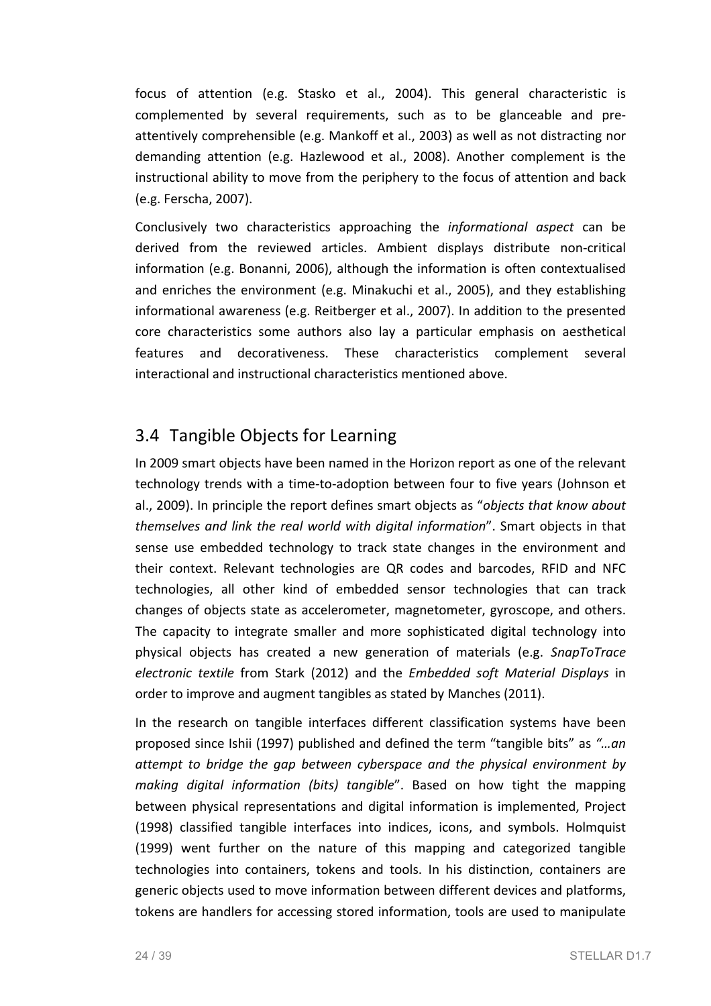focus of attention (e.g. Stasko et al., 2004). This general characteristic is complemented by several requirements, such as to be glanceable and preattentively comprehensible (e.g. Mankoff et al., 2003) as well as not distracting nor demanding attention (e.g. Hazlewood et al., 2008). Another complement is the instructional ability to move from the periphery to the focus of attention and back (e.g. Ferscha, 2007).

Conclusively two characteristics approaching the *informational aspect* can be derived from the reviewed articles. Ambient displays distribute non-critical information (e.g. Bonanni, 2006), although the information is often contextualised and enriches the environment (e.g. Minakuchi et al., 2005), and they establishing informational awareness (e.g. Reitberger et al., 2007). In addition to the presented core characteristics some authors also lay a particular emphasis on aesthetical features and decorativeness. These characteristics complement several interactional and instructional characteristics mentioned above.

### 3.4 Tangible Objects for Learning

In 2009 smart objects have been named in the Horizon report as one of the relevant technology trends with a time-to-adoption between four to five years (Johnson et al., 2009). In principle the report defines smart objects as "*objects that know about themselves and link the real world with digital information*". Smart objects in that sense use embedded technology to track state changes in the environment and their context. Relevant technologies are QR codes and barcodes, RFID and NFC technologies, all other kind of embedded sensor technologies that can track changes of objects state as accelerometer, magnetometer, gyroscope, and others. The capacity to integrate smaller and more sophisticated digital technology into physical objects has created a new generation of materials (e.g. *SnapToTrace electronic textile*  from Stark (2012) and the *Embedded soft Material Displays* in order to improve and augment tangibles as stated by Manches (2011).

In the research on tangible interfaces different classification systems have been proposed since Ishii (1997) published and defined the term "tangible bits" as "...an *attempt* to *bridge* the gap between cyberspace and the physical environment by *making digital information (bits)* tangible". Based on how tight the mapping between physical representations and digital information is implemented, Project (1998) classified tangible interfaces into indices, icons, and symbols. Holmquist (1999) went further on the nature of this mapping and categorized tangible technologies into containers, tokens and tools. In his distinction, containers are generic objects used to move information between different devices and platforms, tokens are handlers for accessing stored information, tools are used to manipulate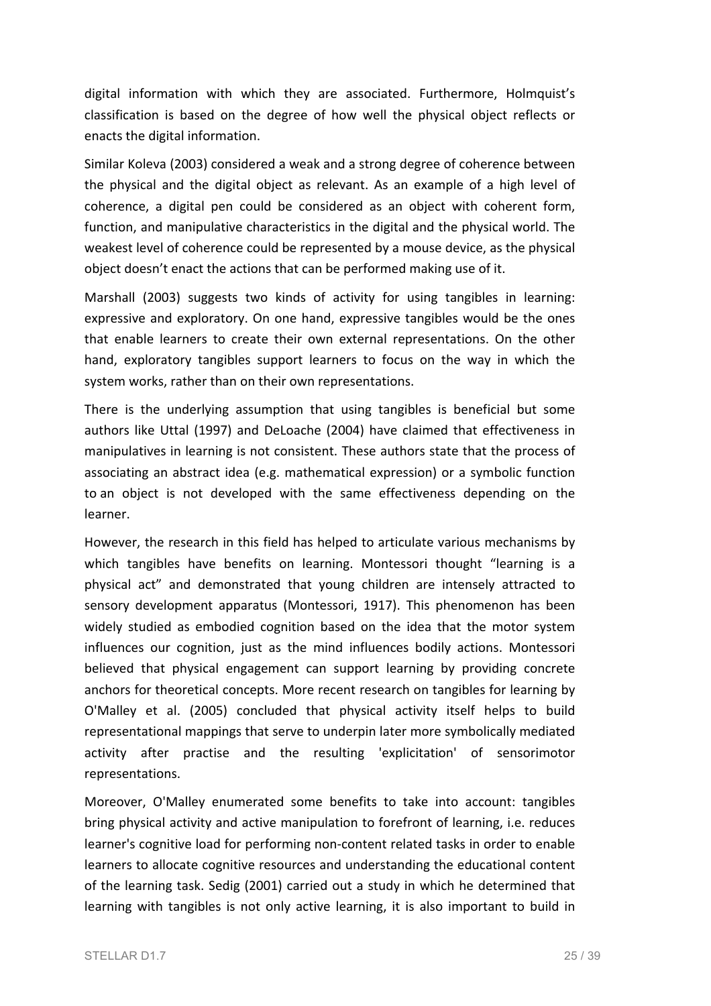digital information with which they are associated. Furthermore, Holmquist's classification is based on the degree of how well the physical object reflects or enacts the digital information.

Similar Koleva (2003) considered a weak and a strong degree of coherence between the physical and the digital object as relevant. As an example of a high level of coherence, a digital pen could be considered as an object with coherent form, function, and manipulative characteristics in the digital and the physical world. The weakest level of coherence could be represented by a mouse device, as the physical object doesn't enact the actions that can be performed making use of it.

Marshall (2003) suggests two kinds of activity for using tangibles in learning: expressive and exploratory. On one hand, expressive tangibles would be the ones that enable learners to create their own external representations. On the other hand, exploratory tangibles support learners to focus on the way in which the system works, rather than on their own representations.

There is the underlying assumption that using tangibles is beneficial but some authors like Uttal (1997) and DeLoache (2004) have claimed that effectiveness in manipulatives in learning is not consistent. These authors state that the process of associating an abstract idea (e.g. mathematical expression) or a symbolic function to an object is not developed with the same effectiveness depending on the learner.

However, the research in this field has helped to articulate various mechanisms by which tangibles have benefits on learning. Montessori thought "learning is a physical act" and demonstrated that young children are intensely attracted to sensory development apparatus (Montessori, 1917). This phenomenon has been widely studied as embodied cognition based on the idea that the motor system influences our cognition, just as the mind influences bodily actions. Montessori believed that physical engagement can support learning by providing concrete anchors for theoretical concepts. More recent research on tangibles for learning by O'Malley et al. (2005) concluded that physical activity itself helps to build representational mappings that serve to underpin later more symbolically mediated activity after practise and the resulting 'explicitation' of sensorimotor representations.

Moreover, O'Malley enumerated some benefits to take into account: tangibles bring physical activity and active manipulation to forefront of learning, i.e. reduces learner's cognitive load for performing non-content related tasks in order to enable learners to allocate cognitive resources and understanding the educational content of the learning task. Sedig (2001) carried out a study in which he determined that learning with tangibles is not only active learning, it is also important to build in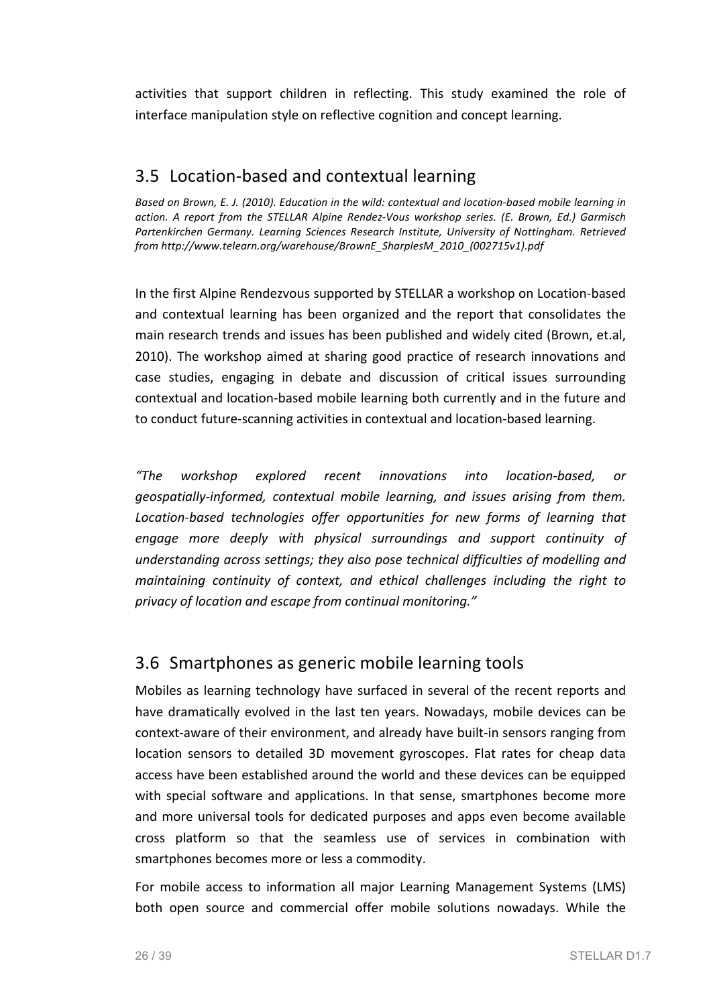activities that support children in reflecting. This study examined the role of interface manipulation style on reflective cognition and concept learning.

## 3.5 Location-based and contextual learning

Based on Brown, E. J. (2010). Education in the wild: contextual and location-based mobile learning in action. A report from the STELLAR Alpine Rendez-Vous workshop series. (E. Brown, Ed.) Garmisch Partenkirchen Germany. Learning Sciences Research Institute, University of Nottingham. Retrieved *from http://www.telearn.org/warehouse/BrownE\_SharplesM\_2010\_(002715v1).pdf*

In the first Alpine Rendezvous supported by STELLAR a workshop on Location-based and contextual learning has been organized and the report that consolidates the main research trends and issues has been published and widely cited (Brown, et.al, 2010). The workshop aimed at sharing good practice of research innovations and case studies, engaging in debate and discussion of critical issues surrounding contextual and location-based mobile learning both currently and in the future and to conduct future-scanning activities in contextual and location-based learning.

*"The workshop explored recent innovations into location-based, or*  geospatially-informed, contextual mobile learning, and issues arising from them. Location-based technologies offer opportunities for new forms of learning that engage more deeply with physical surroundings and support continuity of *understanding across settings; they also pose technical difficulties of modelling and maintaining continuity of context, and ethical challenges including the right to privacy of location and escape from continual monitoring."*

#### 3.6 Smartphones as generic mobile learning tools

Mobiles as learning technology have surfaced in several of the recent reports and have dramatically evolved in the last ten years. Nowadays, mobile devices can be context-aware of their environment, and already have built-in sensors ranging from location sensors to detailed 3D movement gyroscopes. Flat rates for cheap data access have been established around the world and these devices can be equipped with special software and applications. In that sense, smartphones become more and more universal tools for dedicated purposes and apps even become available cross platform so that the seamless use of services in combination with smartphones becomes more or less a commodity.

For mobile access to information all major Learning Management Systems (LMS) both open source and commercial offer mobile solutions nowadays. While the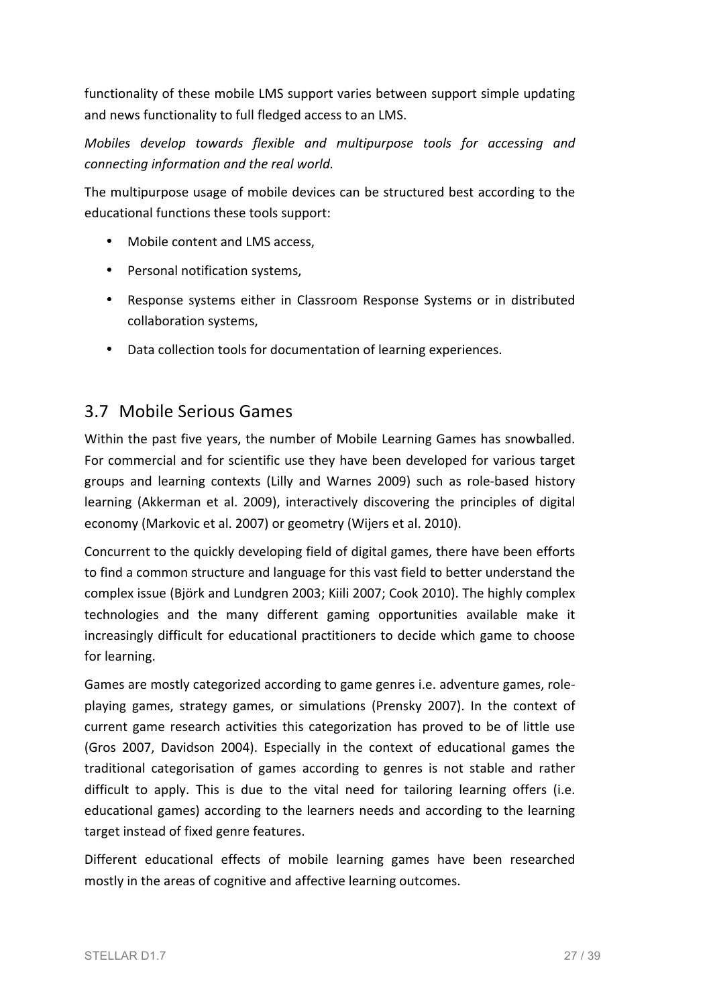functionality of these mobile LMS support varies between support simple updating and news functionality to full fledged access to an LMS.

*Mobiles* develop towards flexible and multipurpose tools for accessing and *connecting information and the real world.* 

The multipurpose usage of mobile devices can be structured best according to the educational functions these tools support:

- Mobile content and LMS access.
- Personal notification systems,
- Response systems either in Classroom Response Systems or in distributed collaboration systems,
- Data collection tools for documentation of learning experiences.

#### 3.7 Mobile Serious Games

Within the past five years, the number of Mobile Learning Games has snowballed. For commercial and for scientific use they have been developed for various target groups and learning contexts (Lilly and Warnes 2009) such as role-based history learning (Akkerman et al. 2009), interactively discovering the principles of digital economy (Markovic et al. 2007) or geometry (Wijers et al. 2010).

Concurrent to the quickly developing field of digital games, there have been efforts to find a common structure and language for this vast field to better understand the complex issue (Björk and Lundgren 2003; Kiili 2007; Cook 2010). The highly complex technologies and the many different gaming opportunities available make it increasingly difficult for educational practitioners to decide which game to choose for learning.

Games are mostly categorized according to game genres i.e. adventure games, roleplaying games, strategy games, or simulations (Prensky 2007). In the context of current game research activities this categorization has proved to be of little use (Gros 2007, Davidson 2004). Especially in the context of educational games the traditional categorisation of games according to genres is not stable and rather difficult to apply. This is due to the vital need for tailoring learning offers (i.e. educational games) according to the learners needs and according to the learning target instead of fixed genre features.

Different educational effects of mobile learning games have been researched mostly in the areas of cognitive and affective learning outcomes.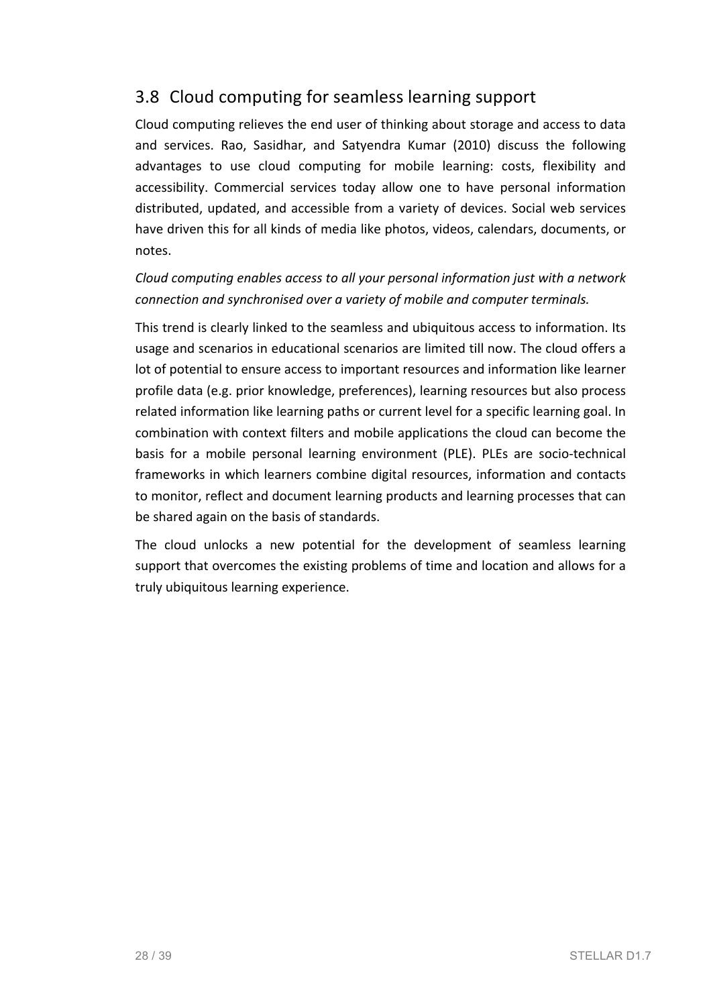## 3.8 Cloud computing for seamless learning support

Cloud computing relieves the end user of thinking about storage and access to data and services. Rao, Sasidhar, and Satyendra Kumar (2010) discuss the following advantages to use cloud computing for mobile learning: costs, flexibility and accessibility. Commercial services today allow one to have personal information distributed, updated, and accessible from a variety of devices. Social web services have driven this for all kinds of media like photos, videos, calendars, documents, or notes. 

*Cloud computing enables access to all your personal information just with a network* connection and synchronised over a variety of mobile and computer terminals.

This trend is clearly linked to the seamless and ubiquitous access to information. Its usage and scenarios in educational scenarios are limited till now. The cloud offers a lot of potential to ensure access to important resources and information like learner profile data (e.g. prior knowledge, preferences), learning resources but also process related information like learning paths or current level for a specific learning goal. In combination with context filters and mobile applications the cloud can become the basis for a mobile personal learning environment (PLE). PLEs are socio-technical frameworks in which learners combine digital resources, information and contacts to monitor, reflect and document learning products and learning processes that can be shared again on the basis of standards.

The cloud unlocks a new potential for the development of seamless learning support that overcomes the existing problems of time and location and allows for a truly ubiquitous learning experience.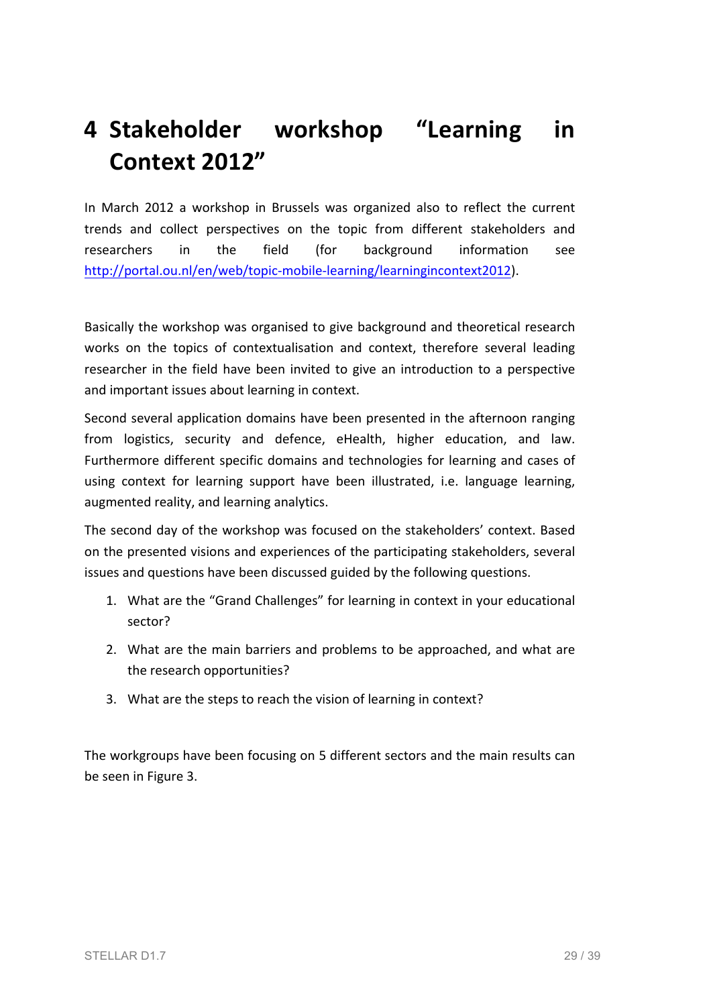# **4 Stakeholder workshop "Learning in Context 2012"**

In March 2012 a workshop in Brussels was organized also to reflect the current trends and collect perspectives on the topic from different stakeholders and researchers in the field (for background information see http://portal.ou.nl/en/web/topic-mobile-learning/learningincontext2012).

Basically the workshop was organised to give background and theoretical research works on the topics of contextualisation and context, therefore several leading researcher in the field have been invited to give an introduction to a perspective and important issues about learning in context.

Second several application domains have been presented in the afternoon ranging from logistics, security and defence, eHealth, higher education, and law. Furthermore different specific domains and technologies for learning and cases of using context for learning support have been illustrated, i.e. language learning, augmented reality, and learning analytics.

The second day of the workshop was focused on the stakeholders' context. Based on the presented visions and experiences of the participating stakeholders, several issues and questions have been discussed guided by the following questions.

- 1. What are the "Grand Challenges" for learning in context in your educational sector?
- 2. What are the main barriers and problems to be approached, and what are the research opportunities?
- 3. What are the steps to reach the vision of learning in context?

The workgroups have been focusing on 5 different sectors and the main results can be seen in Figure 3.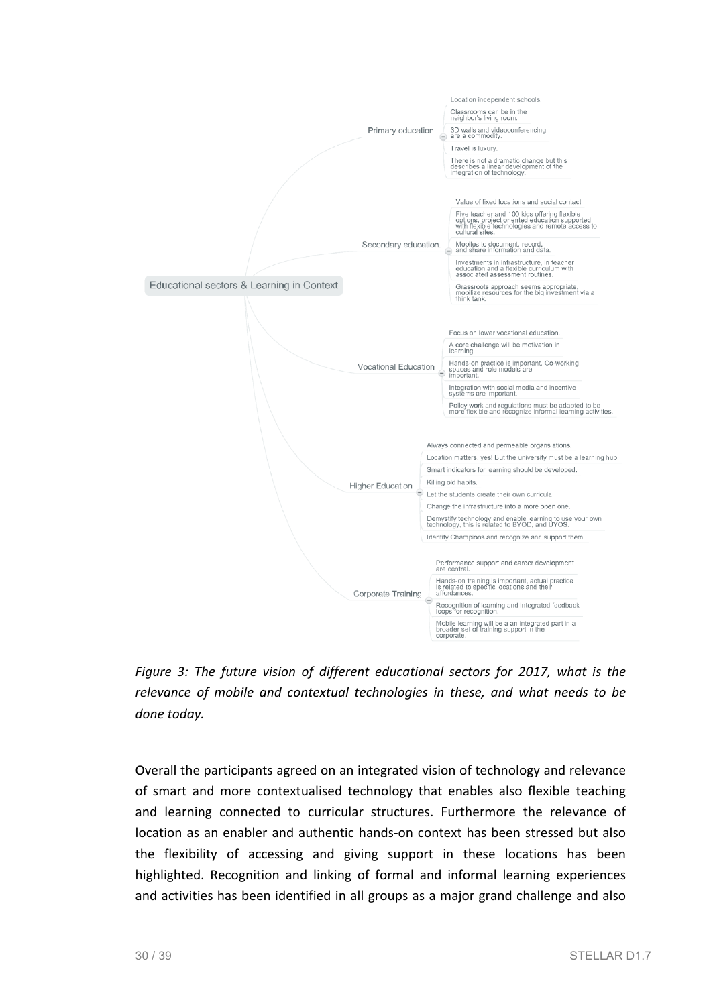

*Figure 3: The future vision of different educational sectors for 2017, what is the* relevance of mobile and contextual technologies in these, and what needs to be *done today.*

Overall the participants agreed on an integrated vision of technology and relevance of smart and more contextualised technology that enables also flexible teaching and learning connected to curricular structures. Furthermore the relevance of location as an enabler and authentic hands-on context has been stressed but also the flexibility of accessing and giving support in these locations has been highlighted. Recognition and linking of formal and informal learning experiences and activities has been identified in all groups as a major grand challenge and also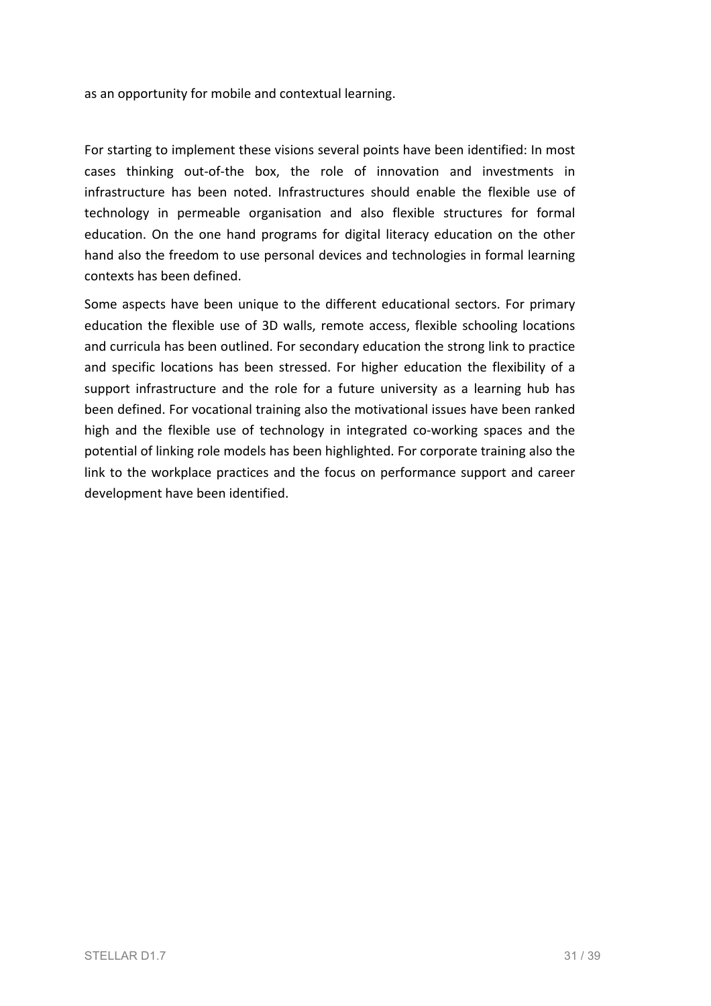as an opportunity for mobile and contextual learning.

For starting to implement these visions several points have been identified: In most cases thinking out-of-the box, the role of innovation and investments in infrastructure has been noted. Infrastructures should enable the flexible use of technology in permeable organisation and also flexible structures for formal education. On the one hand programs for digital literacy education on the other hand also the freedom to use personal devices and technologies in formal learning contexts has been defined.

Some aspects have been unique to the different educational sectors. For primary education the flexible use of 3D walls, remote access, flexible schooling locations and curricula has been outlined. For secondary education the strong link to practice and specific locations has been stressed. For higher education the flexibility of a support infrastructure and the role for a future university as a learning hub has been defined. For vocational training also the motivational issues have been ranked high and the flexible use of technology in integrated co-working spaces and the potential of linking role models has been highlighted. For corporate training also the link to the workplace practices and the focus on performance support and career development have been identified.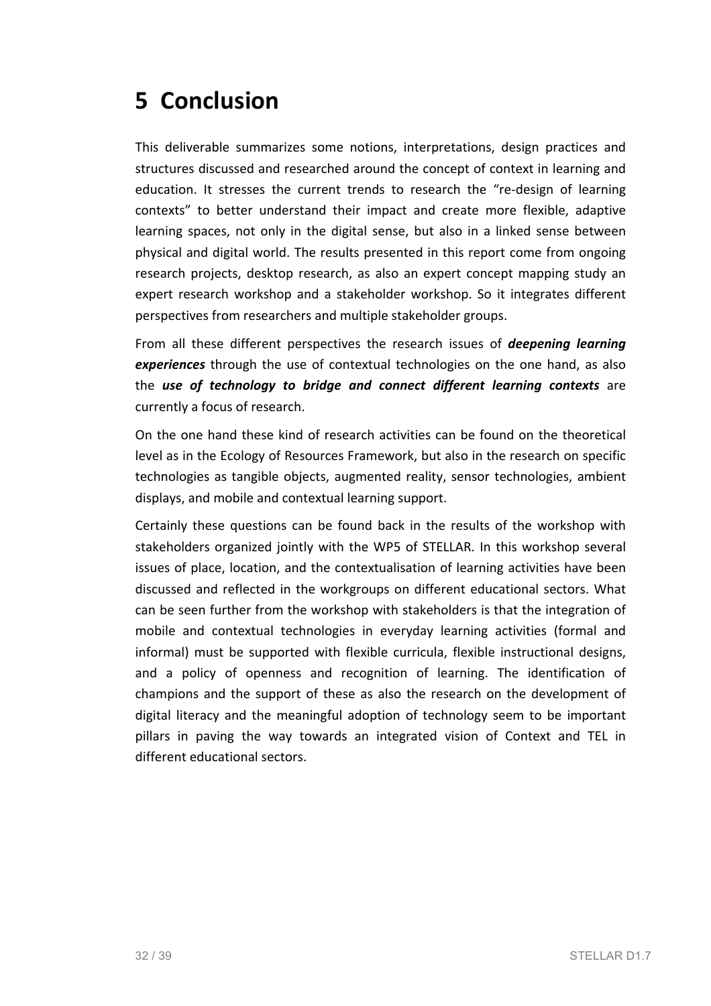# **5 Conclusion**

This deliverable summarizes some notions, interpretations, design practices and structures discussed and researched around the concept of context in learning and education. It stresses the current trends to research the "re-design of learning contexts" to better understand their impact and create more flexible, adaptive learning spaces, not only in the digital sense, but also in a linked sense between physical and digital world. The results presented in this report come from ongoing research projects, desktop research, as also an expert concept mapping study an expert research workshop and a stakeholder workshop. So it integrates different perspectives from researchers and multiple stakeholder groups.

From all these different perspectives the research issues of *deepening learning* **experiences** through the use of contextual technologies on the one hand, as also the *use* of technology to bridge and connect different learning contexts are currently a focus of research.

On the one hand these kind of research activities can be found on the theoretical level as in the Ecology of Resources Framework, but also in the research on specific technologies as tangible objects, augmented reality, sensor technologies, ambient displays, and mobile and contextual learning support.

Certainly these questions can be found back in the results of the workshop with stakeholders organized jointly with the WP5 of STELLAR. In this workshop several issues of place, location, and the contextualisation of learning activities have been discussed and reflected in the workgroups on different educational sectors. What can be seen further from the workshop with stakeholders is that the integration of mobile and contextual technologies in everyday learning activities (formal and informal) must be supported with flexible curricula, flexible instructional designs, and a policy of openness and recognition of learning. The identification of champions and the support of these as also the research on the development of digital literacy and the meaningful adoption of technology seem to be important pillars in paving the way towards an integrated vision of Context and TEL in different educational sectors.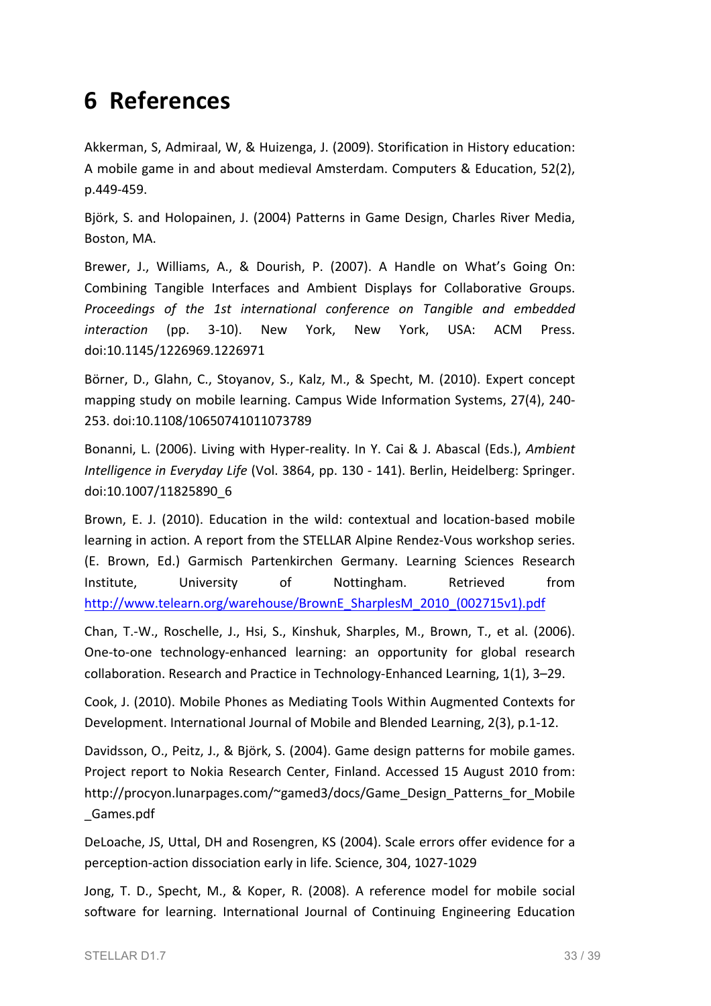## **6 References**

Akkerman, S, Admiraal, W, & Huizenga, J. (2009). Storification in History education: A mobile game in and about medieval Amsterdam. Computers & Education, 52(2), p.449-459. 

Björk, S. and Holopainen, J. (2004) Patterns in Game Design, Charles River Media, Boston, MA.

Brewer, J., Williams, A., & Dourish, P. (2007). A Handle on What's Going On: Combining Tangible Interfaces and Ambient Displays for Collaborative Groups. *Proceedings of the 1st international conference on Tangible and embedded interaction* (pp. 3-10). New York, New York, USA: ACM Press. doi:10.1145/1226969.1226971

Börner, D., Glahn, C., Stoyanov, S., Kalz, M., & Specht, M. (2010). Expert concept mapping study on mobile learning. Campus Wide Information Systems, 27(4), 240-253. doi:10.1108/10650741011073789

Bonanni, L. (2006). Living with Hyper-reality. In Y. Cai & J. Abascal (Eds.), *Ambient Intelligence in Everyday Life* (Vol. 3864, pp. 130 - 141). Berlin, Heidelberg: Springer. doi:10.1007/11825890\_6

Brown, E. J. (2010). Education in the wild: contextual and location-based mobile learning in action. A report from the STELLAR Alpine Rendez-Vous workshop series. (E. Brown, Ed.) Garmisch Partenkirchen Germany. Learning Sciences Research Institute, University of Nottingham. Retrieved from http://www.telearn.org/warehouse/BrownE\_SharplesM\_2010\_(002715v1).pdf

Chan, T.-W., Roschelle, J., Hsi, S., Kinshuk, Sharples, M., Brown, T., et al. (2006). One-to-one technology-enhanced learning: an opportunity for global research collaboration. Research and Practice in Technology-Enhanced Learning, 1(1), 3-29.

Cook, J. (2010). Mobile Phones as Mediating Tools Within Augmented Contexts for Development. International Journal of Mobile and Blended Learning, 2(3), p.1-12.

Davidsson, O., Peitz, J., & Björk, S. (2004). Game design patterns for mobile games. Project report to Nokia Research Center, Finland. Accessed 15 August 2010 from: http://procyon.lunarpages.com/~gamed3/docs/Game\_Design\_Patterns\_for\_Mobile \_Games.pdf

DeLoache, JS, Uttal, DH and Rosengren, KS (2004). Scale errors offer evidence for a perception-action dissociation early in life. Science, 304, 1027-1029

Jong, T. D., Specht, M., & Koper, R. (2008). A reference model for mobile social software for learning. International Journal of Continuing Engineering Education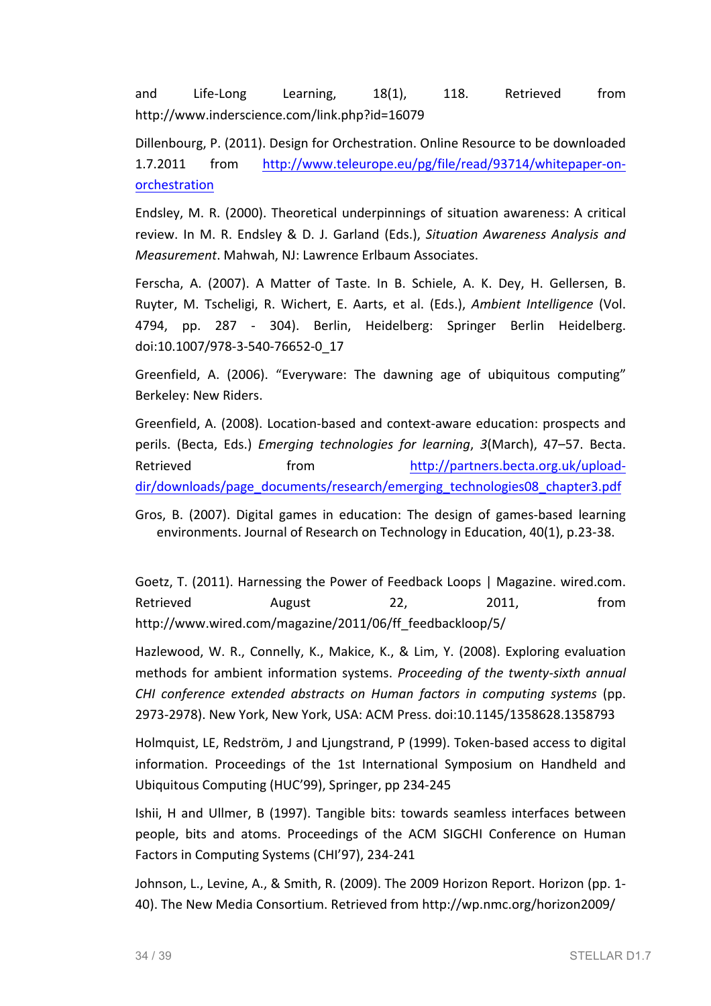and Life-Long Learning, 18(1), 118. Retrieved from http://www.inderscience.com/link.php?id=16079

Dillenbourg, P. (2011). Design for Orchestration. Online Resource to be downloaded 1.7.2011 from http://www.teleurope.eu/pg/file/read/93714/whitepaper-onorchestration

Endsley, M. R. (2000). Theoretical underpinnings of situation awareness: A critical review. In M. R. Endsley & D. J. Garland (Eds.), *Situation Awareness Analysis and Measurement*. Mahwah, NJ: Lawrence Erlbaum Associates.

Ferscha, A. (2007). A Matter of Taste. In B. Schiele, A. K. Dev. H. Gellersen, B. Ruyter, M. Tscheligi, R. Wichert, E. Aarts, et al. (Eds.), *Ambient Intelligence* (Vol. 4794, pp. 287 - 304). Berlin, Heidelberg: Springer Berlin Heidelberg. doi:10.1007/978-3-540-76652-0\_17

Greenfield, A. (2006). "Everyware: The dawning age of ubiquitous computing" Berkeley: New Riders.

Greenfield, A. (2008). Location-based and context-aware education: prospects and perils. (Becta, Eds.) *Emerging technologies for learning*, 3(March), 47–57. Becta. Retrieved from http://partners.becta.org.uk/uploaddir/downloads/page\_documents/research/emerging\_technologies08\_chapter3.pdf

Gros, B. (2007). Digital games in education: The design of games-based learning environments. Journal of Research on Technology in Education, 40(1), p.23-38.

Goetz, T. (2011). Harnessing the Power of Feedback Loops | Magazine. wired.com. Retrieved August 22, 2011, from http://www.wired.com/magazine/2011/06/ff\_feedbackloop/5/

Hazlewood, W. R., Connelly, K., Makice, K., & Lim, Y. (2008). Exploring evaluation methods for ambient information systems. *Proceeding of the twenty-sixth annual CHI conference extended abstracts on Human factors in computing systems* (pp. 2973-2978). New York, New York, USA: ACM Press. doi:10.1145/1358628.1358793

Holmquist, LE, Redström, J and Ljungstrand, P (1999). Token-based access to digital information. Proceedings of the 1st International Symposium on Handheld and Ubiquitous Computing (HUC'99), Springer, pp 234-245

Ishii, H and Ullmer, B (1997). Tangible bits: towards seamless interfaces between people, bits and atoms. Proceedings of the ACM SIGCHI Conference on Human Factors in Computing Systems (CHI'97), 234-241

Johnson, L., Levine, A., & Smith, R. (2009). The 2009 Horizon Report. Horizon (pp. 1-40). The New Media Consortium. Retrieved from http://wp.nmc.org/horizon2009/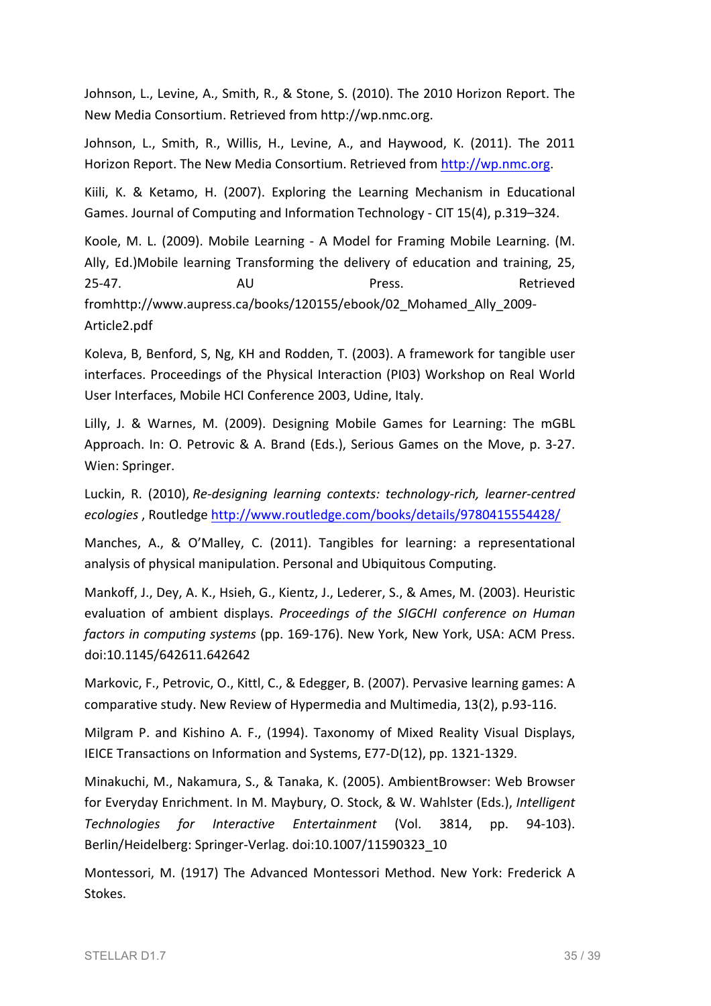Johnson, L., Levine, A., Smith, R., & Stone, S. (2010). The 2010 Horizon Report. The New Media Consortium. Retrieved from http://wp.nmc.org.

Johnson, L., Smith, R., Willis, H., Levine, A., and Haywood, K. (2011). The 2011 Horizon Report. The New Media Consortium. Retrieved from http://wp.nmc.org.

Kiili, K. & Ketamo, H. (2007). Exploring the Learning Mechanism in Educational Games. Journal of Computing and Information Technology - CIT 15(4), p.319–324.

Koole, M. L. (2009). Mobile Learning - A Model for Framing Mobile Learning. (M. Ally, Ed.)Mobile learning Transforming the delivery of education and training, 25, 25-47. AU AU Press. Retrieved fromhttp://www.aupress.ca/books/120155/ebook/02\_Mohamed\_Ally\_2009- Article2.pdf

Koleva, B, Benford, S, Ng, KH and Rodden, T. (2003). A framework for tangible user interfaces. Proceedings of the Physical Interaction (PI03) Workshop on Real World User Interfaces, Mobile HCI Conference 2003, Udine, Italy.

Lilly, J. & Warnes, M. (2009). Designing Mobile Games for Learning: The mGBL Approach. In: O. Petrovic & A. Brand (Eds.), Serious Games on the Move, p. 3-27. Wien: Springer.

Luckin, R. (2010), *Re-designing learning contexts: technology-rich, learner-centred ecologies*, Routledge http://www.routledge.com/books/details/9780415554428/

Manches, A., & O'Malley, C. (2011). Tangibles for learning: a representational analysis of physical manipulation. Personal and Ubiquitous Computing.

Mankoff, J., Dey, A. K., Hsieh, G., Kientz, J., Lederer, S., & Ames, M. (2003). Heuristic evaluation of ambient displays. *Proceedings of the SIGCHI conference on Human factors in computing systems* (pp. 169-176). New York, New York, USA: ACM Press. doi:10.1145/642611.642642

Markovic, F., Petrovic, O., Kittl, C., & Edegger, B. (2007). Pervasive learning games: A comparative study. New Review of Hypermedia and Multimedia, 13(2), p.93-116.

Milgram P. and Kishino A. F., (1994). Taxonomy of Mixed Reality Visual Displays, IEICE Transactions on Information and Systems, E77-D(12), pp. 1321-1329.

Minakuchi, M., Nakamura, S., & Tanaka, K. (2005). AmbientBrowser: Web Browser for Everyday Enrichment. In M. Maybury, O. Stock, & W. Wahlster (Eds.), Intelligent *Technologies for Interactive Entertainment* (Vol. 3814, pp. 94-103). Berlin/Heidelberg: Springer-Verlag. doi:10.1007/11590323\_10

Montessori, M. (1917) The Advanced Montessori Method. New York: Frederick A Stokes.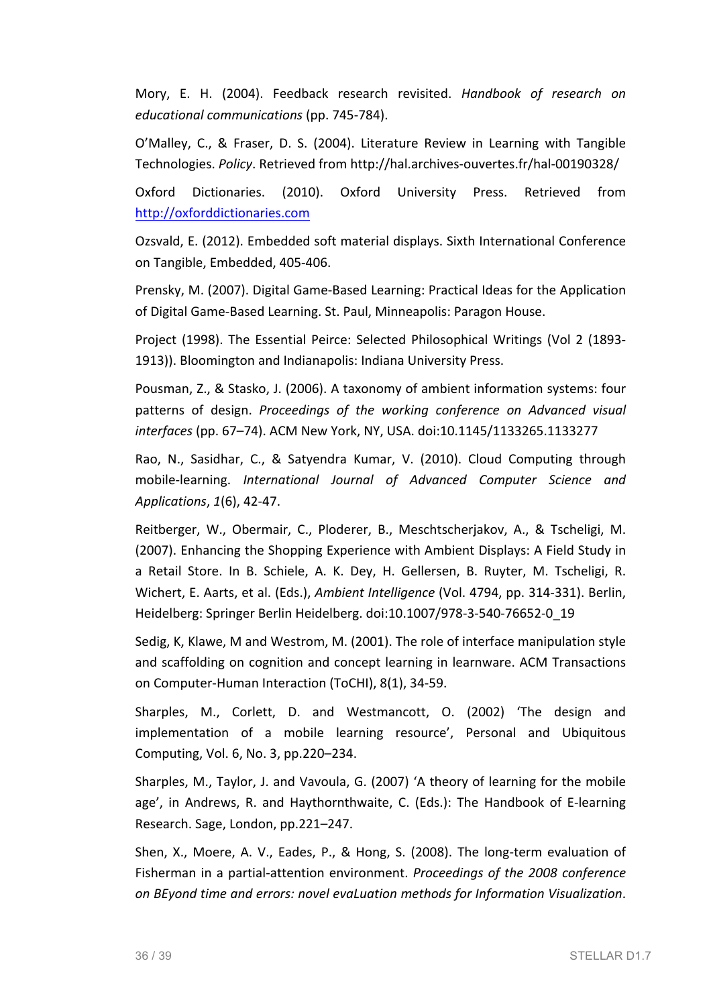Mory, E. H. (2004). Feedback research revisited. *Handbook of research on educational communications* (pp. 745-784).

O'Malley, C., & Fraser, D. S. (2004). Literature Review in Learning with Tangible Technologies. *Policy*. Retrieved from http://hal.archives-ouvertes.fr/hal-00190328/

Oxford Dictionaries. (2010). Oxford University Press. Retrieved from http://oxforddictionaries.com

Ozsvald, E. (2012). Embedded soft material displays. Sixth International Conference on Tangible, Embedded, 405-406.

Prensky, M. (2007). Digital Game-Based Learning: Practical Ideas for the Application of Digital Game-Based Learning. St. Paul, Minneapolis: Paragon House.

Project (1998). The Essential Peirce: Selected Philosophical Writings (Vol 2 (1893-1913)). Bloomington and Indianapolis: Indiana University Press.

Pousman, Z., & Stasko, J. (2006). A taxonomy of ambient information systems: four patterns of design. Proceedings of the working conference on Advanced visual *interfaces* (pp. 67–74). ACM New York, NY, USA. doi:10.1145/1133265.1133277

Rao, N., Sasidhar, C., & Satyendra Kumar, V. (2010). Cloud Computing through mobile-learning. *International Journal of Advanced Computer Science and Applications*, *1*(6), 42-47. 

Reitberger, W., Obermair, C., Ploderer, B., Meschtscherjakov, A., & Tscheligi, M. (2007). Enhancing the Shopping Experience with Ambient Displays: A Field Study in a Retail Store. In B. Schiele, A. K. Dey, H. Gellersen, B. Ruyter, M. Tscheligi, R. Wichert, E. Aarts, et al. (Eds.), *Ambient Intelligence* (Vol. 4794, pp. 314-331). Berlin, Heidelberg: Springer Berlin Heidelberg. doi:10.1007/978-3-540-76652-0\_19

Sedig, K, Klawe, M and Westrom, M. (2001). The role of interface manipulation style and scaffolding on cognition and concept learning in learnware. ACM Transactions on Computer-Human Interaction (ToCHI), 8(1), 34-59.

Sharples, M., Corlett, D. and Westmancott, O. (2002) 'The design and implementation of a mobile learning resource', Personal and Ubiquitous Computing, Vol. 6, No. 3, pp.220–234.

Sharples, M., Taylor, J. and Vavoula, G. (2007) 'A theory of learning for the mobile age', in Andrews, R. and Haythornthwaite, C. (Eds.): The Handbook of E-learning Research. Sage, London, pp.221-247.

Shen, X., Moere, A. V., Eades, P., & Hong, S. (2008). The long-term evaluation of Fisherman in a partial-attention environment. *Proceedings of the 2008 conference on BEyond time and errors: novel evaLuation methods for Information Visualization*.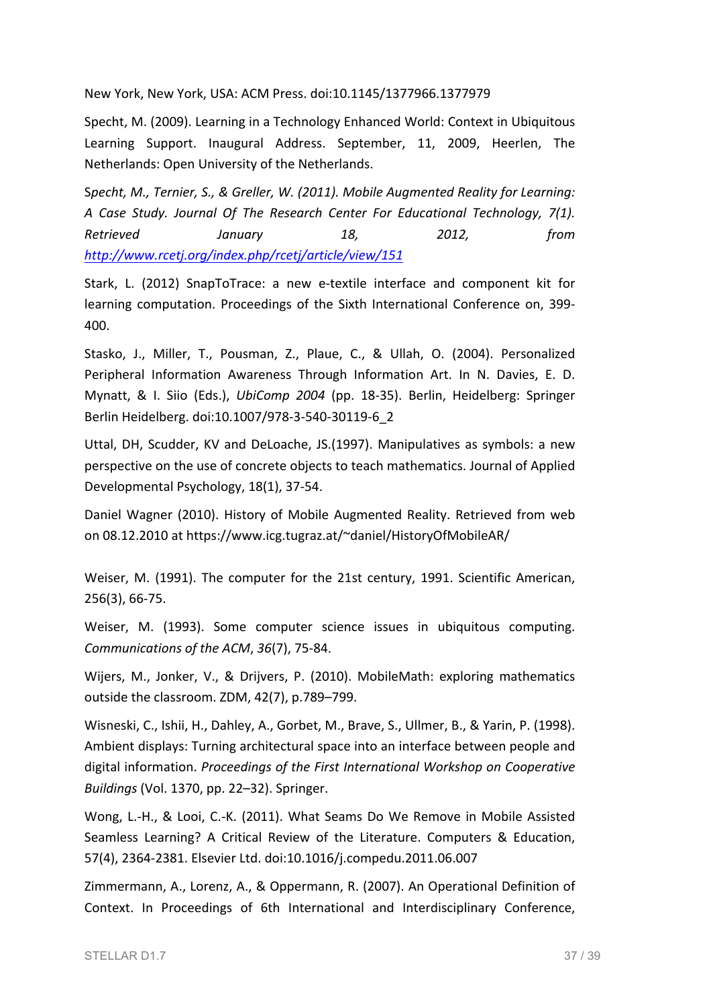New York, New York, USA: ACM Press. doi:10.1145/1377966.1377979

Specht, M. (2009). Learning in a Technology Enhanced World: Context in Ubiquitous Learning Support. Inaugural Address. September, 11, 2009, Heerlen, The Netherlands: Open University of the Netherlands.

Specht, M., Ternier, S., & Greller, W. (2011). Mobile Augmented Reality for Learning: *A Case Study. Journal Of The Research Center For Educational Technology, 7(1). Retrieved January 18, 2012, from http://www.rcetj.org/index.php/rcetj/article/view/151*

Stark, L. (2012) SnapToTrace: a new e-textile interface and component kit for learning computation. Proceedings of the Sixth International Conference on, 399-400.

Stasko, J., Miller, T., Pousman, Z., Plaue, C., & Ullah, O. (2004). Personalized Peripheral Information Awareness Through Information Art. In N. Davies, E. D. Mynatt, & I. Siio (Eds.), *UbiComp* 2004 (pp. 18-35). Berlin, Heidelberg: Springer Berlin Heidelberg. doi:10.1007/978-3-540-30119-6\_2

Uttal, DH, Scudder, KV and DeLoache, JS.(1997). Manipulatives as symbols: a new perspective on the use of concrete objects to teach mathematics. Journal of Applied Developmental Psychology, 18(1), 37-54.

Daniel Wagner (2010). History of Mobile Augmented Reality. Retrieved from web on 08.12.2010 at https://www.icg.tugraz.at/~daniel/HistoryOfMobileAR/

Weiser, M. (1991). The computer for the 21st century, 1991. Scientific American, 256(3), 66-75.

Weiser, M. (1993). Some computer science issues in ubiquitous computing. *Communications of the ACM, 36(7), 75-84.* 

Wijers, M., Jonker, V., & Drijvers, P. (2010). MobileMath: exploring mathematics outside the classroom. ZDM, 42(7), p.789-799.

Wisneski, C., Ishii, H., Dahley, A., Gorbet, M., Brave, S., Ullmer, B., & Yarin, P. (1998). Ambient displays: Turning architectural space into an interface between people and digital information. *Proceedings of the First International Workshop on Cooperative Buildings* (Vol. 1370, pp. 22-32). Springer.

Wong, L.-H., & Looi, C.-K. (2011). What Seams Do We Remove in Mobile Assisted Seamless Learning? A Critical Review of the Literature. Computers & Education, 57(4), 2364-2381. Elsevier Ltd. doi:10.1016/j.compedu.2011.06.007

Zimmermann, A., Lorenz, A., & Oppermann, R. (2007). An Operational Definition of Context. In Proceedings of 6th International and Interdisciplinary Conference,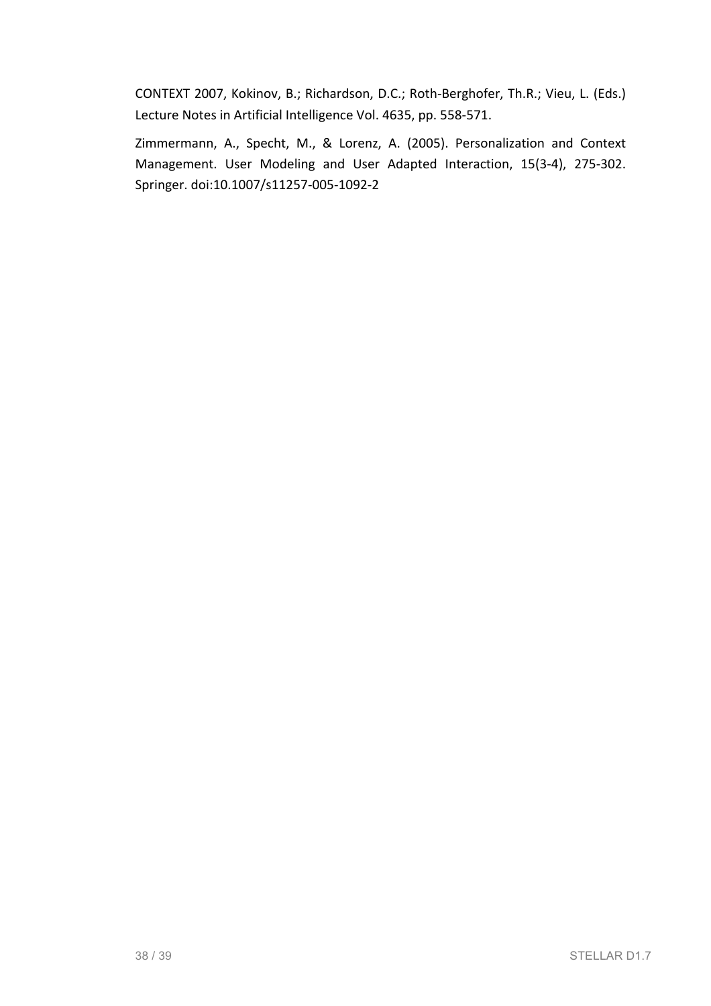CONTEXT 2007, Kokinov, B.; Richardson, D.C.; Roth-Berghofer, Th.R.; Vieu, L. (Eds.) Lecture Notes in Artificial Intelligence Vol. 4635, pp. 558-571.

Zimmermann, A., Specht, M., & Lorenz, A. (2005). Personalization and Context Management. User Modeling and User Adapted Interaction, 15(3-4), 275-302. Springer. doi:10.1007/s11257-005-1092-2